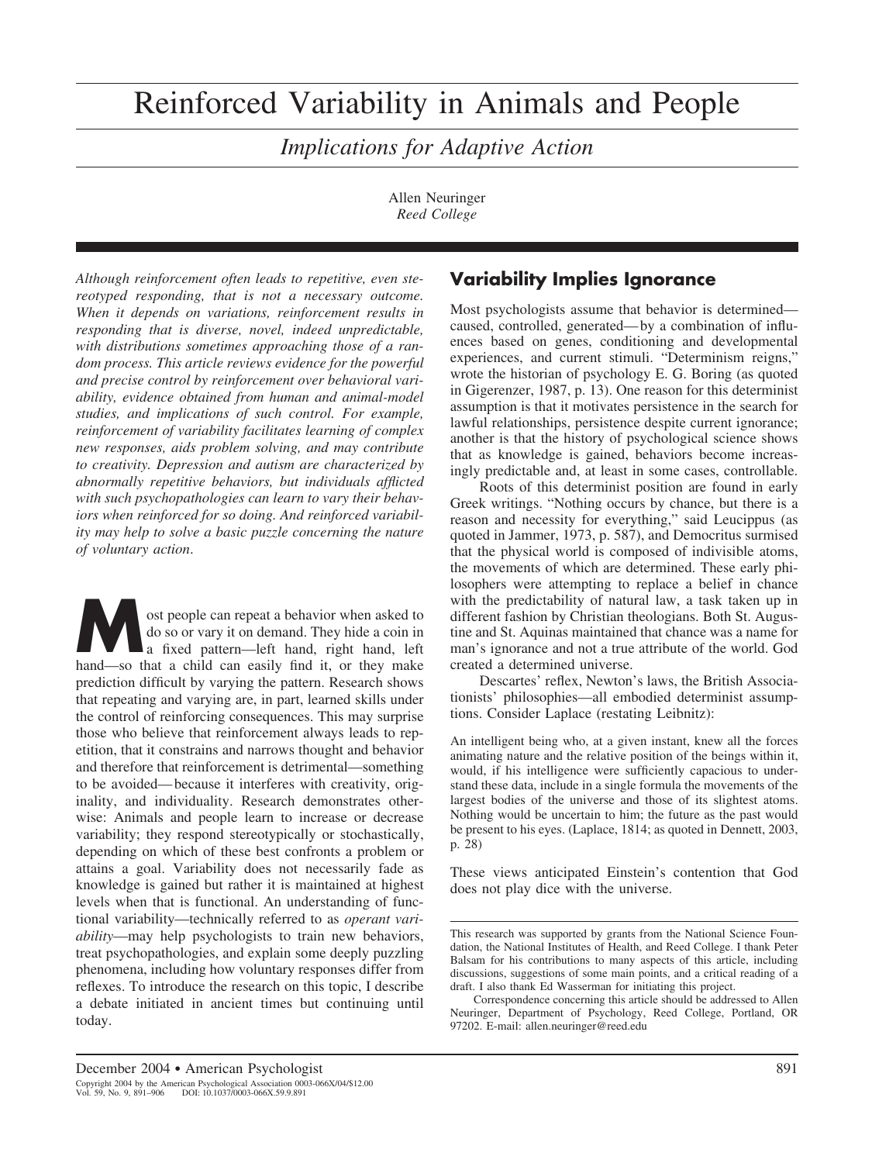# Reinforced Variability in Animals and People

*Implications for Adaptive Action*

Allen Neuringer *Reed College*

*Although reinforcement often leads to repetitive, even stereotyped responding, that is not a necessary outcome. When it depends on variations, reinforcement results in responding that is diverse, novel, indeed unpredictable, with distributions sometimes approaching those of a random process. This article reviews evidence for the powerful and precise control by reinforcement over behavioral variability, evidence obtained from human and animal-model studies, and implications of such control. For example, reinforcement of variability facilitates learning of complex new responses, aids problem solving, and may contribute to creativity. Depression and autism are characterized by abnormally repetitive behaviors, but individuals afflicted with such psychopathologies can learn to vary their behaviors when reinforced for so doing. And reinforced variability may help to solve a basic puzzle concerning the nature of voluntary action*.

ost people can repeat a behavior when asked to<br>do so or vary it on demand. They hide a coin in<br>a fixed pattern—left hand, right hand, left<br>hand—so that a child can easily find it or they make do so or vary it on demand. They hide a coin in hand—so that a child can easily find it, or they make prediction difficult by varying the pattern. Research shows that repeating and varying are, in part, learned skills under the control of reinforcing consequences. This may surprise those who believe that reinforcement always leads to repetition, that it constrains and narrows thought and behavior and therefore that reinforcement is detrimental—something to be avoided— because it interferes with creativity, originality, and individuality. Research demonstrates otherwise: Animals and people learn to increase or decrease variability; they respond stereotypically or stochastically, depending on which of these best confronts a problem or attains a goal. Variability does not necessarily fade as knowledge is gained but rather it is maintained at highest levels when that is functional. An understanding of functional variability—technically referred to as *operant variability*—may help psychologists to train new behaviors, treat psychopathologies, and explain some deeply puzzling phenomena, including how voluntary responses differ from reflexes. To introduce the research on this topic, I describe a debate initiated in ancient times but continuing until today.

# **Variability Implies Ignorance**

Most psychologists assume that behavior is determined caused, controlled, generated— by a combination of influences based on genes, conditioning and developmental experiences, and current stimuli. "Determinism reigns," wrote the historian of psychology E. G. Boring (as quoted in Gigerenzer, 1987, p. 13). One reason for this determinist assumption is that it motivates persistence in the search for lawful relationships, persistence despite current ignorance; another is that the history of psychological science shows that as knowledge is gained, behaviors become increasingly predictable and, at least in some cases, controllable.

Roots of this determinist position are found in early Greek writings. "Nothing occurs by chance, but there is a reason and necessity for everything," said Leucippus (as quoted in Jammer, 1973, p. 587), and Democritus surmised that the physical world is composed of indivisible atoms, the movements of which are determined. These early philosophers were attempting to replace a belief in chance with the predictability of natural law, a task taken up in different fashion by Christian theologians. Both St. Augustine and St. Aquinas maintained that chance was a name for man's ignorance and not a true attribute of the world. God created a determined universe.

Descartes' reflex, Newton's laws, the British Associationists' philosophies—all embodied determinist assumptions. Consider Laplace (restating Leibnitz):

An intelligent being who, at a given instant, knew all the forces animating nature and the relative position of the beings within it, would, if his intelligence were sufficiently capacious to understand these data, include in a single formula the movements of the largest bodies of the universe and those of its slightest atoms. Nothing would be uncertain to him; the future as the past would be present to his eyes. (Laplace, 1814; as quoted in Dennett, 2003, p. 28)

These views anticipated Einstein's contention that God does not play dice with the universe.

This research was supported by grants from the National Science Foundation, the National Institutes of Health, and Reed College. I thank Peter Balsam for his contributions to many aspects of this article, including discussions, suggestions of some main points, and a critical reading of a draft. I also thank Ed Wasserman for initiating this project.

Correspondence concerning this article should be addressed to Allen Neuringer, Department of Psychology, Reed College, Portland, OR 97202. E-mail: allen.neuringer@reed.edu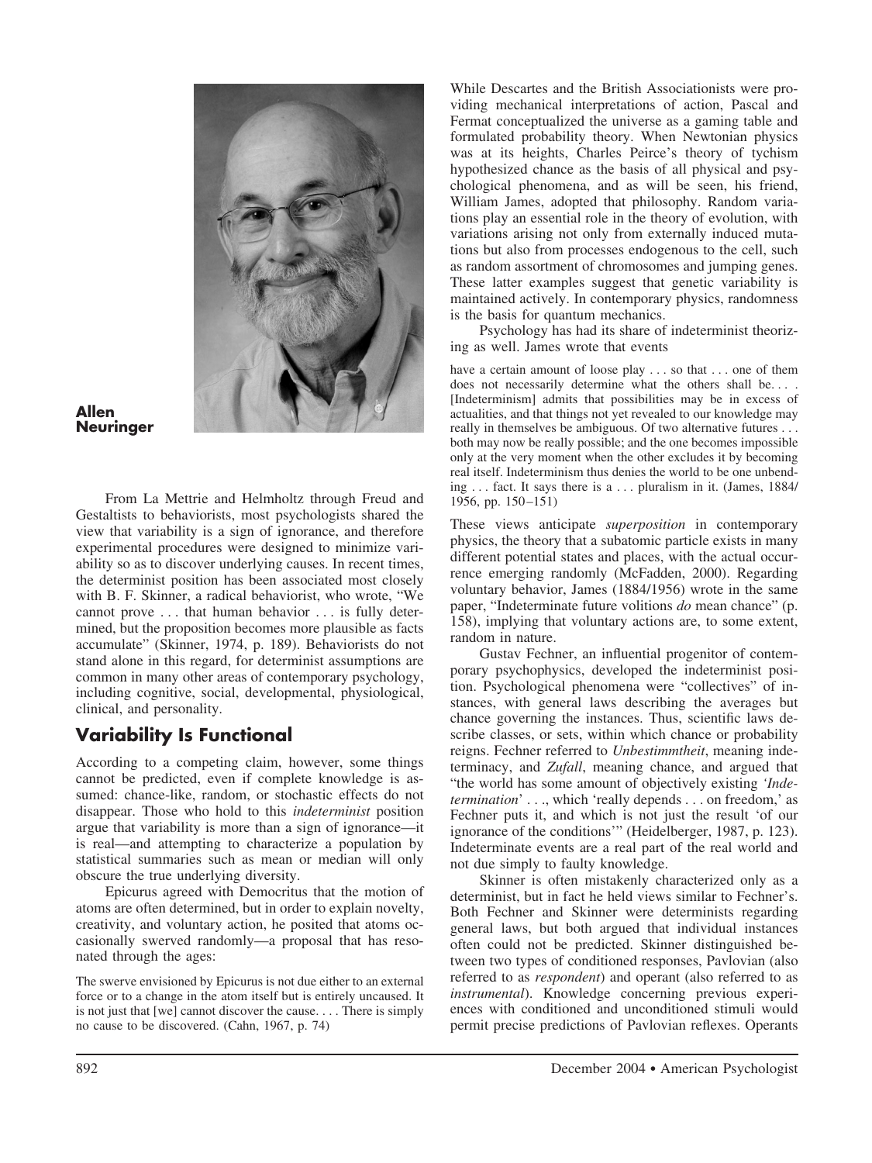

**Allen Neuringer**

From La Mettrie and Helmholtz through Freud and Gestaltists to behaviorists, most psychologists shared the view that variability is a sign of ignorance, and therefore experimental procedures were designed to minimize variability so as to discover underlying causes. In recent times, the determinist position has been associated most closely with B. F. Skinner, a radical behaviorist, who wrote, "We cannot prove . . . that human behavior . . . is fully determined, but the proposition becomes more plausible as facts accumulate" (Skinner, 1974, p. 189). Behaviorists do not stand alone in this regard, for determinist assumptions are common in many other areas of contemporary psychology, including cognitive, social, developmental, physiological, clinical, and personality.

# **Variability Is Functional**

According to a competing claim, however, some things cannot be predicted, even if complete knowledge is assumed: chance-like, random, or stochastic effects do not disappear. Those who hold to this *indeterminist* position argue that variability is more than a sign of ignorance—it is real—and attempting to characterize a population by statistical summaries such as mean or median will only obscure the true underlying diversity.

Epicurus agreed with Democritus that the motion of atoms are often determined, but in order to explain novelty, creativity, and voluntary action, he posited that atoms occasionally swerved randomly—a proposal that has resonated through the ages:

The swerve envisioned by Epicurus is not due either to an external force or to a change in the atom itself but is entirely uncaused. It is not just that [we] cannot discover the cause. . . . There is simply no cause to be discovered. (Cahn, 1967, p. 74)

While Descartes and the British Associationists were providing mechanical interpretations of action, Pascal and Fermat conceptualized the universe as a gaming table and formulated probability theory. When Newtonian physics was at its heights, Charles Peirce's theory of tychism hypothesized chance as the basis of all physical and psychological phenomena, and as will be seen, his friend, William James, adopted that philosophy. Random variations play an essential role in the theory of evolution, with variations arising not only from externally induced mutations but also from processes endogenous to the cell, such as random assortment of chromosomes and jumping genes. These latter examples suggest that genetic variability is maintained actively. In contemporary physics, randomness is the basis for quantum mechanics.

Psychology has had its share of indeterminist theorizing as well. James wrote that events

have a certain amount of loose play . . . so that . . . one of them does not necessarily determine what the others shall be.... [Indeterminism] admits that possibilities may be in excess of actualities, and that things not yet revealed to our knowledge may really in themselves be ambiguous. Of two alternative futures . . . both may now be really possible; and the one becomes impossible only at the very moment when the other excludes it by becoming real itself. Indeterminism thus denies the world to be one unbending . . . fact. It says there is a . . . pluralism in it. (James, 1884/ 1956, pp. 150 –151)

These views anticipate *superposition* in contemporary physics, the theory that a subatomic particle exists in many different potential states and places, with the actual occurrence emerging randomly (McFadden, 2000). Regarding voluntary behavior, James (1884/1956) wrote in the same paper, "Indeterminate future volitions *do* mean chance" (p. 158), implying that voluntary actions are, to some extent, random in nature.

Gustav Fechner, an influential progenitor of contemporary psychophysics, developed the indeterminist position. Psychological phenomena were "collectives" of instances, with general laws describing the averages but chance governing the instances. Thus, scientific laws describe classes, or sets, within which chance or probability reigns. Fechner referred to *Unbestimmtheit*, meaning indeterminacy, and *Zufall*, meaning chance, and argued that "the world has some amount of objectively existing *'Indetermination*' . . ., which 'really depends . . . on freedom,' as Fechner puts it, and which is not just the result 'of our ignorance of the conditions'" (Heidelberger, 1987, p. 123). Indeterminate events are a real part of the real world and not due simply to faulty knowledge.

Skinner is often mistakenly characterized only as a determinist, but in fact he held views similar to Fechner's. Both Fechner and Skinner were determinists regarding general laws, but both argued that individual instances often could not be predicted. Skinner distinguished between two types of conditioned responses, Pavlovian (also referred to as *respondent*) and operant (also referred to as *instrumental*). Knowledge concerning previous experiences with conditioned and unconditioned stimuli would permit precise predictions of Pavlovian reflexes. Operants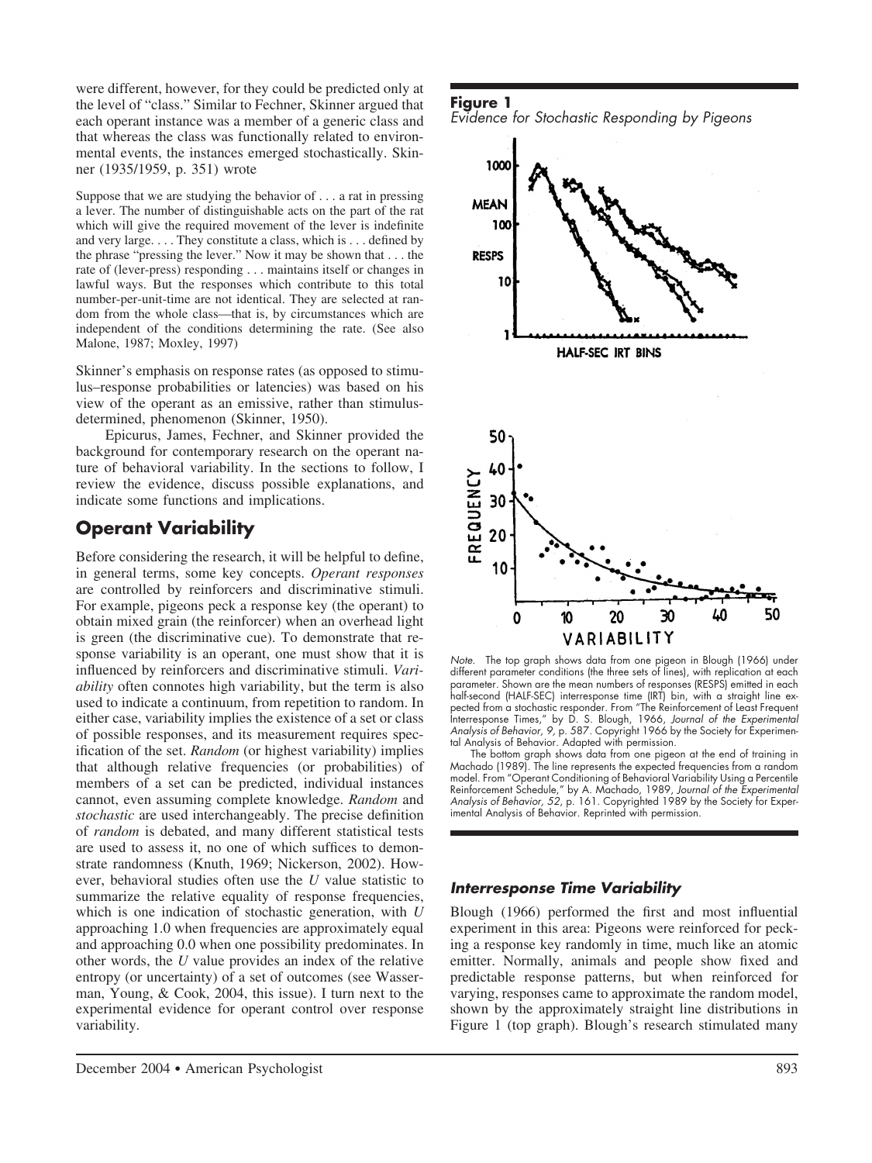were different, however, for they could be predicted only at the level of "class." Similar to Fechner, Skinner argued that each operant instance was a member of a generic class and that whereas the class was functionally related to environmental events, the instances emerged stochastically. Skinner (1935/1959, p. 351) wrote

Suppose that we are studying the behavior of . . . a rat in pressing a lever. The number of distinguishable acts on the part of the rat which will give the required movement of the lever is indefinite and very large. . . . They constitute a class, which is . . . defined by the phrase "pressing the lever." Now it may be shown that . . . the rate of (lever-press) responding . . . maintains itself or changes in lawful ways. But the responses which contribute to this total number-per-unit-time are not identical. They are selected at random from the whole class—that is, by circumstances which are independent of the conditions determining the rate. (See also Malone, 1987; Moxley, 1997)

Skinner's emphasis on response rates (as opposed to stimulus–response probabilities or latencies) was based on his view of the operant as an emissive, rather than stimulusdetermined, phenomenon (Skinner, 1950).

Epicurus, James, Fechner, and Skinner provided the background for contemporary research on the operant nature of behavioral variability. In the sections to follow, I review the evidence, discuss possible explanations, and indicate some functions and implications.

# **Operant Variability**

Before considering the research, it will be helpful to define, in general terms, some key concepts. *Operant responses* are controlled by reinforcers and discriminative stimuli. For example, pigeons peck a response key (the operant) to obtain mixed grain (the reinforcer) when an overhead light is green (the discriminative cue). To demonstrate that response variability is an operant, one must show that it is influenced by reinforcers and discriminative stimuli. *Variability* often connotes high variability, but the term is also used to indicate a continuum, from repetition to random. In either case, variability implies the existence of a set or class of possible responses, and its measurement requires specification of the set. *Random* (or highest variability) implies that although relative frequencies (or probabilities) of members of a set can be predicted, individual instances cannot, even assuming complete knowledge. *Random* and *stochastic* are used interchangeably. The precise definition of *random* is debated, and many different statistical tests are used to assess it, no one of which suffices to demonstrate randomness (Knuth, 1969; Nickerson, 2002). However, behavioral studies often use the *U* value statistic to summarize the relative equality of response frequencies, which is one indication of stochastic generation, with *U* approaching 1.0 when frequencies are approximately equal and approaching 0.0 when one possibility predominates. In other words, the *U* value provides an index of the relative entropy (or uncertainty) of a set of outcomes (see Wasserman, Young, & Cook, 2004, this issue). I turn next to the experimental evidence for operant control over response variability.





*Note.* The top graph shows data from one pigeon in Blough (1966) under different parameter conditions (the three sets of lines), with replication at each parameter. Shown are the mean numbers of responses (RESPS) emitted in each half-second (HALF-SEC) interresponse time (IRT) bin, with a straight line expected from a stochastic responder. From "The Reinforcement of Least Frequent Interresponse Times," by D. S. Blough, 1966, *Journal of the Experimental Analysis of Behavior, 9,* p. 587. Copyright 1966 by the Society for Experimental Analysis of Behavior. Adapted with permission.

The bottom graph shows data from one pigeon at the end of training in Machado (1989). The line represents the expected frequencies from a random model. From "Operant Conditioning of Behavioral Variability Using a Percentile Reinforcement Schedule," by A. Machado, 1989, *Journal of the Experimental* Analysis of Behavior, 52, p. 161. Copyrighted 1989 by the Society for Experimental Analysis of Behavior. Reprinted with permission.

#### *Interresponse Time Variability*

Blough (1966) performed the first and most influential experiment in this area: Pigeons were reinforced for pecking a response key randomly in time, much like an atomic emitter. Normally, animals and people show fixed and predictable response patterns, but when reinforced for varying, responses came to approximate the random model, shown by the approximately straight line distributions in Figure 1 (top graph). Blough's research stimulated many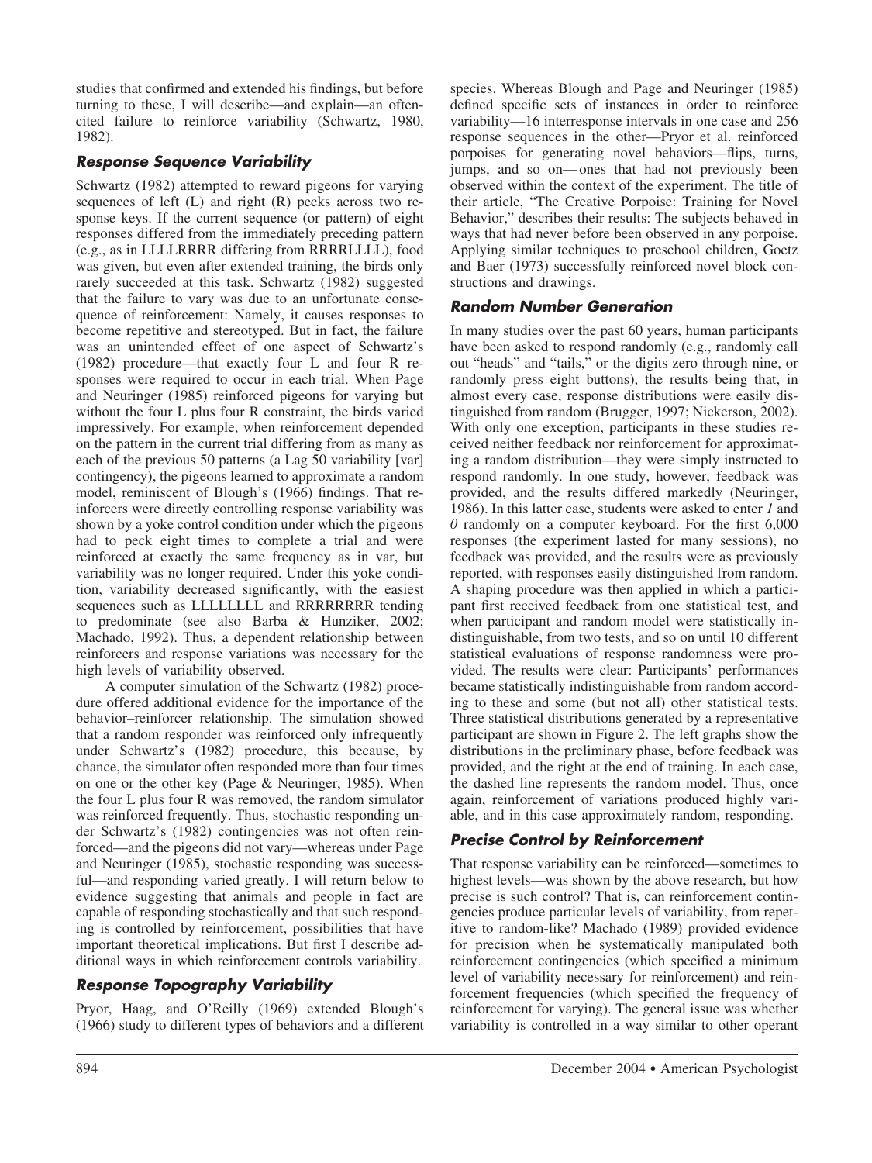studies that confirmed and extended his findings, but before turning to these, I will describe—and explain—an oftencited failure to reinforce variability (Schwartz, 1980, 1982).

# *Response Sequence Variability*

Schwartz (1982) attempted to reward pigeons for varying sequences of left (L) and right (R) pecks across two response keys. If the current sequence (or pattern) of eight responses differed from the immediately preceding pattern (e.g., as in LLLLRRRR differing from RRRRLLLL), food was given, but even after extended training, the birds only rarely succeeded at this task. Schwartz (1982) suggested that the failure to vary was due to an unfortunate consequence of reinforcement: Namely, it causes responses to become repetitive and stereotyped. But in fact, the failure was an unintended effect of one aspect of Schwartz's (1982) procedure—that exactly four L and four R responses were required to occur in each trial. When Page and Neuringer (1985) reinforced pigeons for varying but without the four L plus four R constraint, the birds varied impressively. For example, when reinforcement depended on the pattern in the current trial differing from as many as each of the previous 50 patterns (a Lag 50 variability [var] contingency), the pigeons learned to approximate a random model, reminiscent of Blough's (1966) findings. That reinforcers were directly controlling response variability was shown by a yoke control condition under which the pigeons had to peck eight times to complete a trial and were reinforced at exactly the same frequency as in var, but variability was no longer required. Under this yoke condition, variability decreased significantly, with the easiest sequences such as LLLLLLLL and RRRRRRRR tending to predominate (see also Barba & Hunziker, 2002; Machado, 1992). Thus, a dependent relationship between reinforcers and response variations was necessary for the high levels of variability observed.

A computer simulation of the Schwartz (1982) procedure offered additional evidence for the importance of the behavior–reinforcer relationship. The simulation showed that a random responder was reinforced only infrequently under Schwartz's (1982) procedure, this because, by chance, the simulator often responded more than four times on one or the other key (Page & Neuringer, 1985). When the four L plus four R was removed, the random simulator was reinforced frequently. Thus, stochastic responding under Schwartz's (1982) contingencies was not often reinforced—and the pigeons did not vary—whereas under Page and Neuringer (1985), stochastic responding was successful—and responding varied greatly. I will return below to evidence suggesting that animals and people in fact are capable of responding stochastically and that such responding is controlled by reinforcement, possibilities that have important theoretical implications. But first I describe additional ways in which reinforcement controls variability.

# *Response Topography Variability*

Pryor, Haag, and O'Reilly (1969) extended Blough's (1966) study to different types of behaviors and a different

species. Whereas Blough and Page and Neuringer (1985) defined specific sets of instances in order to reinforce variability—16 interresponse intervals in one case and 256 response sequences in the other—Pryor et al. reinforced porpoises for generating novel behaviors—flips, turns, jumps, and so on— ones that had not previously been observed within the context of the experiment. The title of their article, "The Creative Porpoise: Training for Novel Behavior," describes their results: The subjects behaved in ways that had never before been observed in any porpoise. Applying similar techniques to preschool children, Goetz and Baer (1973) successfully reinforced novel block constructions and drawings.

# *Random Number Generation*

In many studies over the past 60 years, human participants have been asked to respond randomly (e.g., randomly call out "heads" and "tails," or the digits zero through nine, or randomly press eight buttons), the results being that, in almost every case, response distributions were easily distinguished from random (Brugger, 1997; Nickerson, 2002). With only one exception, participants in these studies received neither feedback nor reinforcement for approximating a random distribution—they were simply instructed to respond randomly. In one study, however, feedback was provided, and the results differed markedly (Neuringer, 1986). In this latter case, students were asked to enter *1* and *0* randomly on a computer keyboard. For the first 6,000 responses (the experiment lasted for many sessions), no feedback was provided, and the results were as previously reported, with responses easily distinguished from random. A shaping procedure was then applied in which a participant first received feedback from one statistical test, and when participant and random model were statistically indistinguishable, from two tests, and so on until 10 different statistical evaluations of response randomness were provided. The results were clear: Participants' performances became statistically indistinguishable from random according to these and some (but not all) other statistical tests. Three statistical distributions generated by a representative participant are shown in Figure 2. The left graphs show the distributions in the preliminary phase, before feedback was provided, and the right at the end of training. In each case, the dashed line represents the random model. Thus, once again, reinforcement of variations produced highly variable, and in this case approximately random, responding.

# *Precise Control by Reinforcement*

That response variability can be reinforced—sometimes to highest levels—was shown by the above research, but how precise is such control? That is, can reinforcement contingencies produce particular levels of variability, from repetitive to random-like? Machado (1989) provided evidence for precision when he systematically manipulated both reinforcement contingencies (which specified a minimum level of variability necessary for reinforcement) and reinforcement frequencies (which specified the frequency of reinforcement for varying). The general issue was whether variability is controlled in a way similar to other operant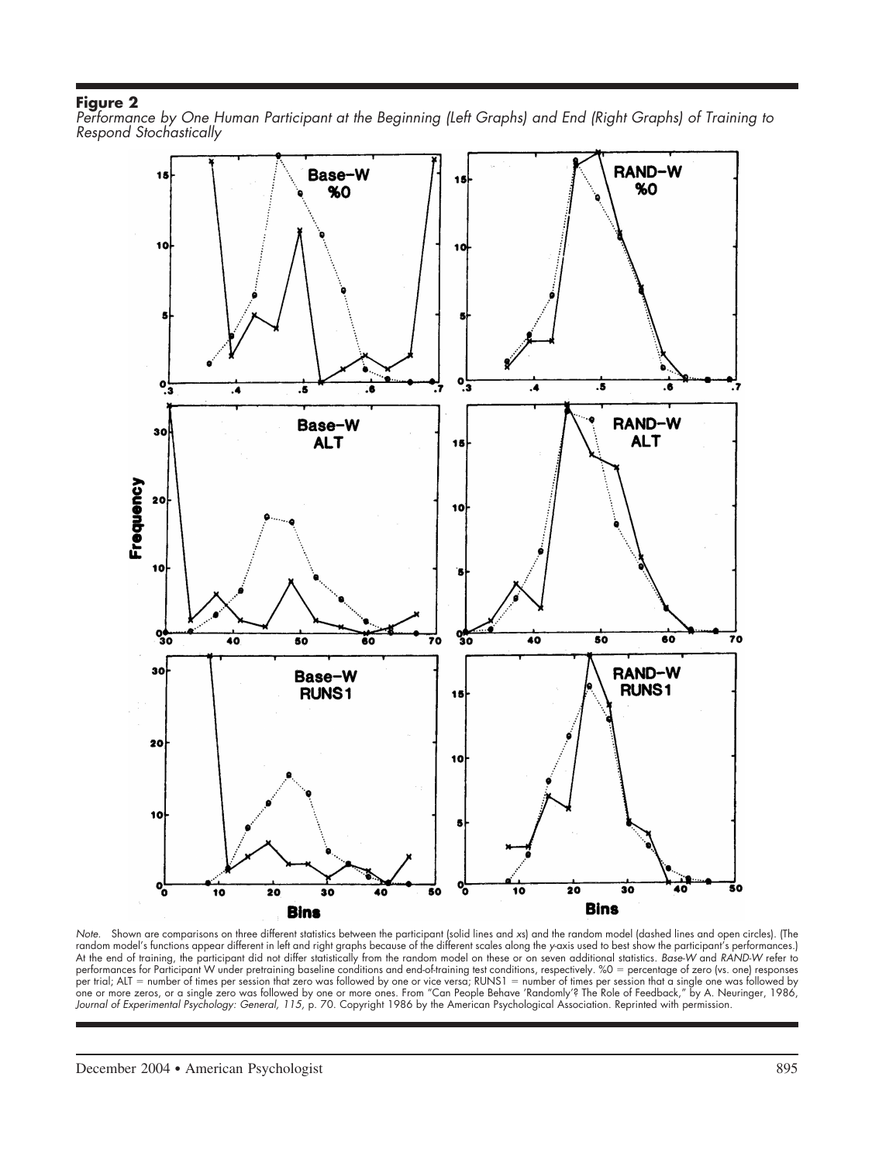*Performance by One Human Participant at the Beginning (Left Graphs) and End (Right Graphs) of Training to Respond Stochastically*



*Note.* Shown are comparisons on three different statistics between the participant (solid lines and *x*s) and the random model (dashed lines and open circles). (The random model's functions appear different in left and right graphs because of the different scales along the *y*-axis used to best show the participant's performances.) At the end of training, the participant did not differ statistically from the random model on these or on seven additional statistics. *Base-W* and *RAND-W* refer to performances for Participant W under pretraining baseline conditions and end-of-training test conditions, respectively. %0 percentage of zero (vs. one) responses per trial; ALT = number of times per session that zero was followed by one or vice versa; RUNS1 = number of times per session that a single one was followed by one or more zeros, or a single zero was followed by one or more ones. From "Can People Behave 'Randomly'? The Role of Feedback," by A. Neuringer, 1986, *Journal of Experimental Psychology: General, 115,* p. 70. Copyright 1986 by the American Psychological Association. Reprinted with permission.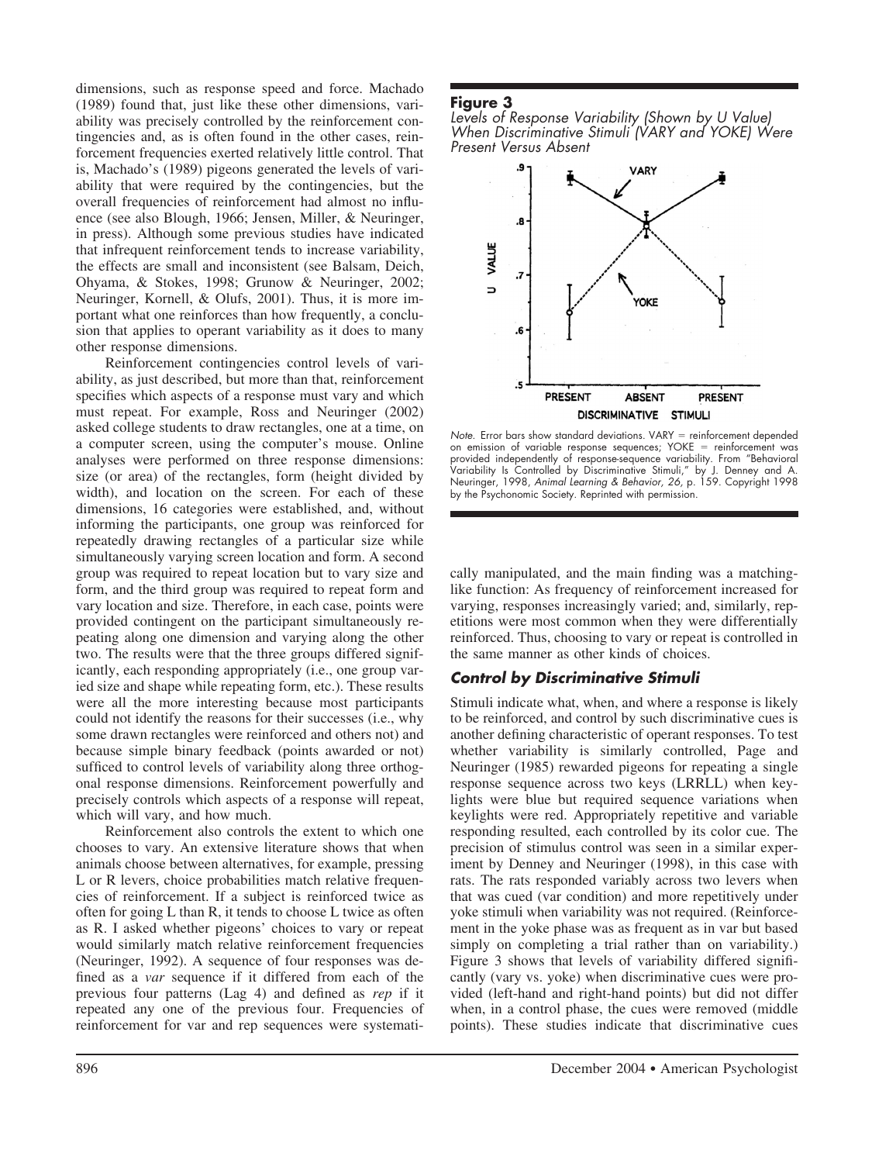dimensions, such as response speed and force. Machado (1989) found that, just like these other dimensions, variability was precisely controlled by the reinforcement contingencies and, as is often found in the other cases, reinforcement frequencies exerted relatively little control. That is, Machado's (1989) pigeons generated the levels of variability that were required by the contingencies, but the overall frequencies of reinforcement had almost no influence (see also Blough, 1966; Jensen, Miller, & Neuringer, in press). Although some previous studies have indicated that infrequent reinforcement tends to increase variability, the effects are small and inconsistent (see Balsam, Deich, Ohyama, & Stokes, 1998; Grunow & Neuringer, 2002; Neuringer, Kornell, & Olufs, 2001). Thus, it is more important what one reinforces than how frequently, a conclusion that applies to operant variability as it does to many other response dimensions.

Reinforcement contingencies control levels of variability, as just described, but more than that, reinforcement specifies which aspects of a response must vary and which must repeat. For example, Ross and Neuringer (2002) asked college students to draw rectangles, one at a time, on a computer screen, using the computer's mouse. Online analyses were performed on three response dimensions: size (or area) of the rectangles, form (height divided by width), and location on the screen. For each of these dimensions, 16 categories were established, and, without informing the participants, one group was reinforced for repeatedly drawing rectangles of a particular size while simultaneously varying screen location and form. A second group was required to repeat location but to vary size and form, and the third group was required to repeat form and vary location and size. Therefore, in each case, points were provided contingent on the participant simultaneously repeating along one dimension and varying along the other two. The results were that the three groups differed significantly, each responding appropriately (i.e., one group varied size and shape while repeating form, etc.). These results were all the more interesting because most participants could not identify the reasons for their successes (i.e., why some drawn rectangles were reinforced and others not) and because simple binary feedback (points awarded or not) sufficed to control levels of variability along three orthogonal response dimensions. Reinforcement powerfully and precisely controls which aspects of a response will repeat, which will vary, and how much.

Reinforcement also controls the extent to which one chooses to vary. An extensive literature shows that when animals choose between alternatives, for example, pressing L or R levers, choice probabilities match relative frequencies of reinforcement. If a subject is reinforced twice as often for going L than R, it tends to choose L twice as often as R. I asked whether pigeons' choices to vary or repeat would similarly match relative reinforcement frequencies (Neuringer, 1992). A sequence of four responses was defined as a *var* sequence if it differed from each of the previous four patterns (Lag 4) and defined as *rep* if it repeated any one of the previous four. Frequencies of reinforcement for var and rep sequences were systemati-

### **Figure 3**





*Note.* Error bars show standard deviations. VARY = reinforcement depended on emission of variable response sequences; YOKE reinforcement was provided independently of response-sequence variability. From "Behavioral Variability Is Controlled by Discriminative Stimuli," by J. Denney and A. Neuringer, 1998, *Animal Learning & Behavior, 26,* p. 159. Copyright 1998 by the Psychonomic Society. Reprinted with permission.

cally manipulated, and the main finding was a matchinglike function: As frequency of reinforcement increased for varying, responses increasingly varied; and, similarly, repetitions were most common when they were differentially reinforced. Thus, choosing to vary or repeat is controlled in the same manner as other kinds of choices.

### *Control by Discriminative Stimuli*

Stimuli indicate what, when, and where a response is likely to be reinforced, and control by such discriminative cues is another defining characteristic of operant responses. To test whether variability is similarly controlled, Page and Neuringer (1985) rewarded pigeons for repeating a single response sequence across two keys (LRRLL) when keylights were blue but required sequence variations when keylights were red. Appropriately repetitive and variable responding resulted, each controlled by its color cue. The precision of stimulus control was seen in a similar experiment by Denney and Neuringer (1998), in this case with rats. The rats responded variably across two levers when that was cued (var condition) and more repetitively under yoke stimuli when variability was not required. (Reinforcement in the yoke phase was as frequent as in var but based simply on completing a trial rather than on variability.) Figure 3 shows that levels of variability differed significantly (vary vs. yoke) when discriminative cues were provided (left-hand and right-hand points) but did not differ when, in a control phase, the cues were removed (middle points). These studies indicate that discriminative cues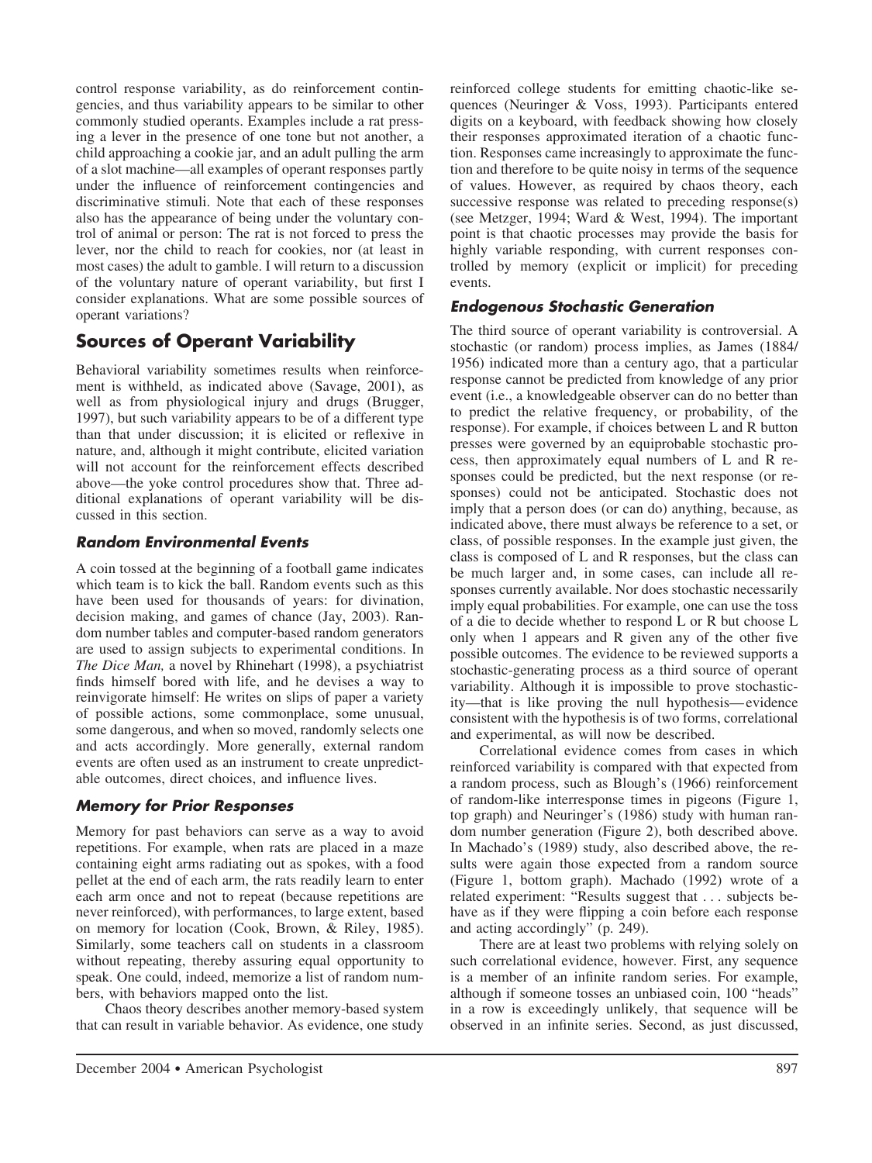control response variability, as do reinforcement contingencies, and thus variability appears to be similar to other commonly studied operants. Examples include a rat pressing a lever in the presence of one tone but not another, a child approaching a cookie jar, and an adult pulling the arm of a slot machine—all examples of operant responses partly under the influence of reinforcement contingencies and discriminative stimuli. Note that each of these responses also has the appearance of being under the voluntary control of animal or person: The rat is not forced to press the lever, nor the child to reach for cookies, nor (at least in most cases) the adult to gamble. I will return to a discussion of the voluntary nature of operant variability, but first I consider explanations. What are some possible sources of operant variations?

# **Sources of Operant Variability**

Behavioral variability sometimes results when reinforcement is withheld, as indicated above (Savage, 2001), as well as from physiological injury and drugs (Brugger, 1997), but such variability appears to be of a different type than that under discussion; it is elicited or reflexive in nature, and, although it might contribute, elicited variation will not account for the reinforcement effects described above—the yoke control procedures show that. Three additional explanations of operant variability will be discussed in this section.

### *Random Environmental Events*

A coin tossed at the beginning of a football game indicates which team is to kick the ball. Random events such as this have been used for thousands of years: for divination, decision making, and games of chance (Jay, 2003). Random number tables and computer-based random generators are used to assign subjects to experimental conditions. In *The Dice Man,* a novel by Rhinehart (1998), a psychiatrist finds himself bored with life, and he devises a way to reinvigorate himself: He writes on slips of paper a variety of possible actions, some commonplace, some unusual, some dangerous, and when so moved, randomly selects one and acts accordingly. More generally, external random events are often used as an instrument to create unpredictable outcomes, direct choices, and influence lives.

# *Memory for Prior Responses*

Memory for past behaviors can serve as a way to avoid repetitions. For example, when rats are placed in a maze containing eight arms radiating out as spokes, with a food pellet at the end of each arm, the rats readily learn to enter each arm once and not to repeat (because repetitions are never reinforced), with performances, to large extent, based on memory for location (Cook, Brown, & Riley, 1985). Similarly, some teachers call on students in a classroom without repeating, thereby assuring equal opportunity to speak. One could, indeed, memorize a list of random numbers, with behaviors mapped onto the list.

Chaos theory describes another memory-based system that can result in variable behavior. As evidence, one study reinforced college students for emitting chaotic-like sequences (Neuringer & Voss, 1993). Participants entered digits on a keyboard, with feedback showing how closely their responses approximated iteration of a chaotic function. Responses came increasingly to approximate the function and therefore to be quite noisy in terms of the sequence of values. However, as required by chaos theory, each successive response was related to preceding response(s) (see Metzger, 1994; Ward & West, 1994). The important point is that chaotic processes may provide the basis for highly variable responding, with current responses controlled by memory (explicit or implicit) for preceding events.

### *Endogenous Stochastic Generation*

The third source of operant variability is controversial. A stochastic (or random) process implies, as James (1884/ 1956) indicated more than a century ago, that a particular response cannot be predicted from knowledge of any prior event (i.e., a knowledgeable observer can do no better than to predict the relative frequency, or probability, of the response). For example, if choices between L and R button presses were governed by an equiprobable stochastic process, then approximately equal numbers of L and R responses could be predicted, but the next response (or responses) could not be anticipated. Stochastic does not imply that a person does (or can do) anything, because, as indicated above, there must always be reference to a set, or class, of possible responses. In the example just given, the class is composed of L and R responses, but the class can be much larger and, in some cases, can include all responses currently available. Nor does stochastic necessarily imply equal probabilities. For example, one can use the toss of a die to decide whether to respond L or R but choose L only when 1 appears and R given any of the other five possible outcomes. The evidence to be reviewed supports a stochastic-generating process as a third source of operant variability. Although it is impossible to prove stochasticity—that is like proving the null hypothesis— evidence consistent with the hypothesis is of two forms, correlational and experimental, as will now be described.

Correlational evidence comes from cases in which reinforced variability is compared with that expected from a random process, such as Blough's (1966) reinforcement of random-like interresponse times in pigeons (Figure 1, top graph) and Neuringer's (1986) study with human random number generation (Figure 2), both described above. In Machado's (1989) study, also described above, the results were again those expected from a random source (Figure 1, bottom graph). Machado (1992) wrote of a related experiment: "Results suggest that . . . subjects behave as if they were flipping a coin before each response and acting accordingly" (p. 249).

There are at least two problems with relying solely on such correlational evidence, however. First, any sequence is a member of an infinite random series. For example, although if someone tosses an unbiased coin, 100 "heads" in a row is exceedingly unlikely, that sequence will be observed in an infinite series. Second, as just discussed,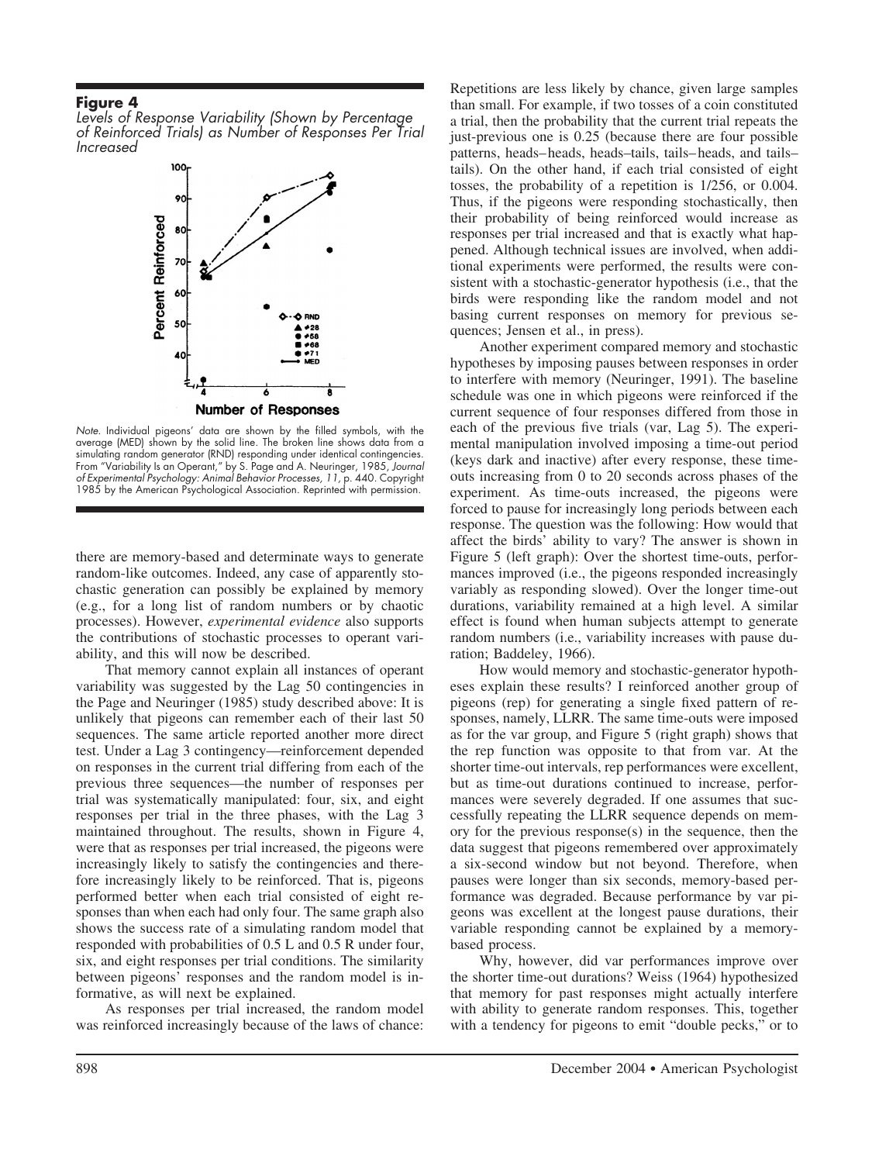*Levels of Response Variability (Shown by Percentage of Reinforced Trials) as Number of Responses Per Trial Increased*



*Note.* Individual pigeons' data are shown by the filled symbols, with the average (MED) shown by the solid line. The broken line shows data from a simulating random generator (RND) responding under identical contingencies. From "Variability Is an Operant," by S. Page and A. Neuringer, 1985, *Journal of Experimental Psychology: Animal Behavior Processes, 11,* p. 440. Copyright 1985 by the American Psychological Association. Reprinted with permission.

there are memory-based and determinate ways to generate random-like outcomes. Indeed, any case of apparently stochastic generation can possibly be explained by memory (e.g., for a long list of random numbers or by chaotic processes). However, *experimental evidence* also supports the contributions of stochastic processes to operant variability, and this will now be described.

That memory cannot explain all instances of operant variability was suggested by the Lag 50 contingencies in the Page and Neuringer (1985) study described above: It is unlikely that pigeons can remember each of their last 50 sequences. The same article reported another more direct test. Under a Lag 3 contingency—reinforcement depended on responses in the current trial differing from each of the previous three sequences—the number of responses per trial was systematically manipulated: four, six, and eight responses per trial in the three phases, with the Lag 3 maintained throughout. The results, shown in Figure 4, were that as responses per trial increased, the pigeons were increasingly likely to satisfy the contingencies and therefore increasingly likely to be reinforced. That is, pigeons performed better when each trial consisted of eight responses than when each had only four. The same graph also shows the success rate of a simulating random model that responded with probabilities of 0.5 L and 0.5 R under four, six, and eight responses per trial conditions. The similarity between pigeons' responses and the random model is informative, as will next be explained.

As responses per trial increased, the random model was reinforced increasingly because of the laws of chance: Repetitions are less likely by chance, given large samples than small. For example, if two tosses of a coin constituted a trial, then the probability that the current trial repeats the just-previous one is 0.25 (because there are four possible patterns, heads– heads, heads–tails, tails– heads, and tails– tails). On the other hand, if each trial consisted of eight tosses, the probability of a repetition is 1/256, or 0.004. Thus, if the pigeons were responding stochastically, then their probability of being reinforced would increase as responses per trial increased and that is exactly what happened. Although technical issues are involved, when additional experiments were performed, the results were consistent with a stochastic-generator hypothesis (i.e., that the birds were responding like the random model and not basing current responses on memory for previous sequences; Jensen et al., in press).

Another experiment compared memory and stochastic hypotheses by imposing pauses between responses in order to interfere with memory (Neuringer, 1991). The baseline schedule was one in which pigeons were reinforced if the current sequence of four responses differed from those in each of the previous five trials (var, Lag 5). The experimental manipulation involved imposing a time-out period (keys dark and inactive) after every response, these timeouts increasing from 0 to 20 seconds across phases of the experiment. As time-outs increased, the pigeons were forced to pause for increasingly long periods between each response. The question was the following: How would that affect the birds' ability to vary? The answer is shown in Figure 5 (left graph): Over the shortest time-outs, performances improved (i.e., the pigeons responded increasingly variably as responding slowed). Over the longer time-out durations, variability remained at a high level. A similar effect is found when human subjects attempt to generate random numbers (i.e., variability increases with pause duration; Baddeley, 1966).

How would memory and stochastic-generator hypotheses explain these results? I reinforced another group of pigeons (rep) for generating a single fixed pattern of responses, namely, LLRR. The same time-outs were imposed as for the var group, and Figure 5 (right graph) shows that the rep function was opposite to that from var. At the shorter time-out intervals, rep performances were excellent, but as time-out durations continued to increase, performances were severely degraded. If one assumes that successfully repeating the LLRR sequence depends on memory for the previous response(s) in the sequence, then the data suggest that pigeons remembered over approximately a six-second window but not beyond. Therefore, when pauses were longer than six seconds, memory-based performance was degraded. Because performance by var pigeons was excellent at the longest pause durations, their variable responding cannot be explained by a memorybased process.

Why, however, did var performances improve over the shorter time-out durations? Weiss (1964) hypothesized that memory for past responses might actually interfere with ability to generate random responses. This, together with a tendency for pigeons to emit "double pecks," or to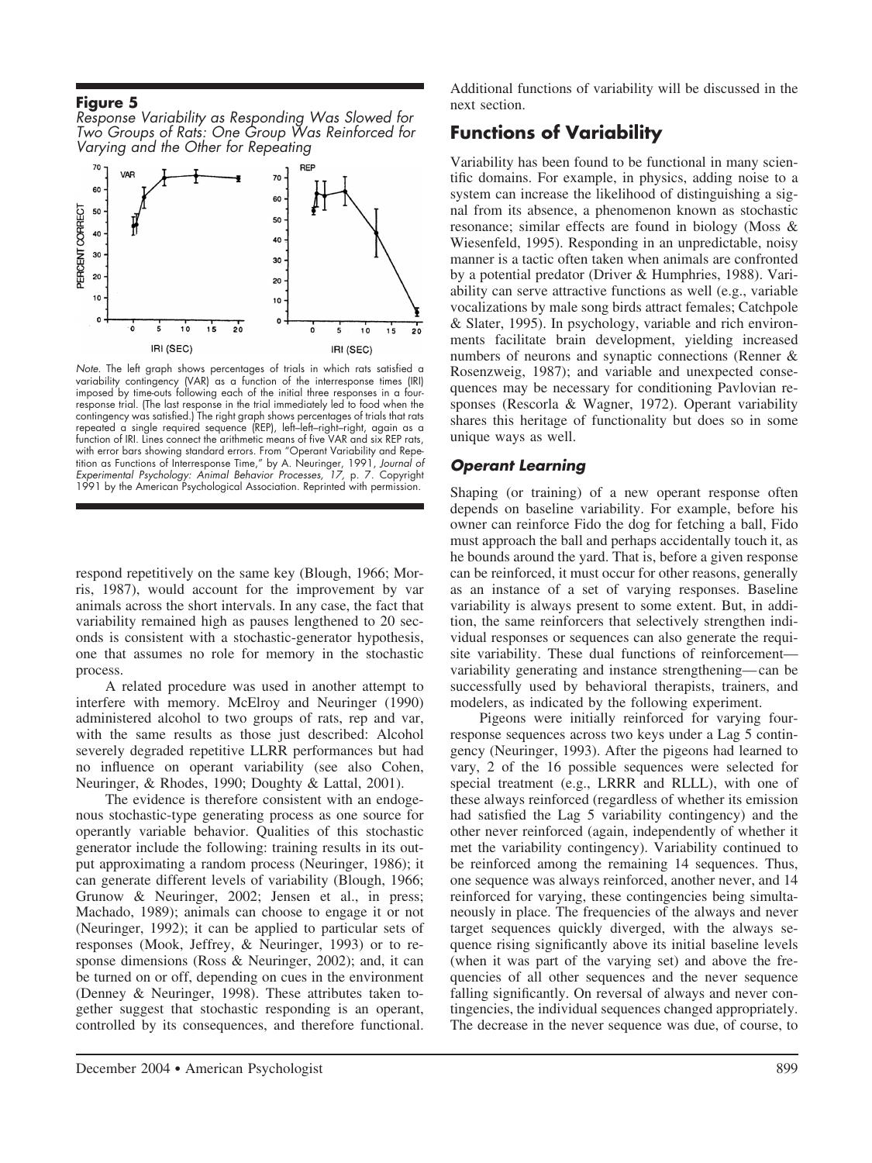*Response Variability as Responding Was Slowed for Two Groups of Rats: One Group Was Reinforced for Varying and the Other for Repeating*



*Note.* The left graph shows percentages of trials in which rats satisfied a variability contingency (VAR) as a function of the interresponse times (IRI) imposed by time-outs following each of the initial three responses in a fourresponse trial. (The last response in the trial immediately led to food when the contingency was satisfied.) The right graph shows percentages of trials that rats repeated a single required sequence (REP), left–left–right–right, again as a function of IRI. Lines connect the arithmetic means of five VAR and six REP rats, with error bars showing standard errors. From "Operant Variability and Repetition as Functions of Interresponse Time," by A. Neuringer, 1991, *Journal of Experimental Psychology: Animal Behavior Processes, 17,* p. 7. Copyright 1991 by the American Psychological Association. Reprinted with permission.

respond repetitively on the same key (Blough, 1966; Morris, 1987), would account for the improvement by var animals across the short intervals. In any case, the fact that variability remained high as pauses lengthened to 20 seconds is consistent with a stochastic-generator hypothesis, one that assumes no role for memory in the stochastic process.

A related procedure was used in another attempt to interfere with memory. McElroy and Neuringer (1990) administered alcohol to two groups of rats, rep and var, with the same results as those just described: Alcohol severely degraded repetitive LLRR performances but had no influence on operant variability (see also Cohen, Neuringer, & Rhodes, 1990; Doughty & Lattal, 2001).

The evidence is therefore consistent with an endogenous stochastic-type generating process as one source for operantly variable behavior. Qualities of this stochastic generator include the following: training results in its output approximating a random process (Neuringer, 1986); it can generate different levels of variability (Blough, 1966; Grunow & Neuringer, 2002; Jensen et al., in press; Machado, 1989); animals can choose to engage it or not (Neuringer, 1992); it can be applied to particular sets of responses (Mook, Jeffrey, & Neuringer, 1993) or to response dimensions (Ross & Neuringer, 2002); and, it can be turned on or off, depending on cues in the environment (Denney & Neuringer, 1998). These attributes taken together suggest that stochastic responding is an operant, controlled by its consequences, and therefore functional.

Additional functions of variability will be discussed in the next section.

# **Functions of Variability**

Variability has been found to be functional in many scientific domains. For example, in physics, adding noise to a system can increase the likelihood of distinguishing a signal from its absence, a phenomenon known as stochastic resonance; similar effects are found in biology (Moss & Wiesenfeld, 1995). Responding in an unpredictable, noisy manner is a tactic often taken when animals are confronted by a potential predator (Driver & Humphries, 1988). Variability can serve attractive functions as well (e.g., variable vocalizations by male song birds attract females; Catchpole & Slater, 1995). In psychology, variable and rich environments facilitate brain development, yielding increased numbers of neurons and synaptic connections (Renner & Rosenzweig, 1987); and variable and unexpected consequences may be necessary for conditioning Pavlovian responses (Rescorla & Wagner, 1972). Operant variability shares this heritage of functionality but does so in some unique ways as well.

#### *Operant Learning*

Shaping (or training) of a new operant response often depends on baseline variability. For example, before his owner can reinforce Fido the dog for fetching a ball, Fido must approach the ball and perhaps accidentally touch it, as he bounds around the yard. That is, before a given response can be reinforced, it must occur for other reasons, generally as an instance of a set of varying responses. Baseline variability is always present to some extent. But, in addition, the same reinforcers that selectively strengthen individual responses or sequences can also generate the requisite variability. These dual functions of reinforcement variability generating and instance strengthening— can be successfully used by behavioral therapists, trainers, and modelers, as indicated by the following experiment.

Pigeons were initially reinforced for varying fourresponse sequences across two keys under a Lag 5 contingency (Neuringer, 1993). After the pigeons had learned to vary, 2 of the 16 possible sequences were selected for special treatment (e.g., LRRR and RLLL), with one of these always reinforced (regardless of whether its emission had satisfied the Lag 5 variability contingency) and the other never reinforced (again, independently of whether it met the variability contingency). Variability continued to be reinforced among the remaining 14 sequences. Thus, one sequence was always reinforced, another never, and 14 reinforced for varying, these contingencies being simultaneously in place. The frequencies of the always and never target sequences quickly diverged, with the always sequence rising significantly above its initial baseline levels (when it was part of the varying set) and above the frequencies of all other sequences and the never sequence falling significantly. On reversal of always and never contingencies, the individual sequences changed appropriately. The decrease in the never sequence was due, of course, to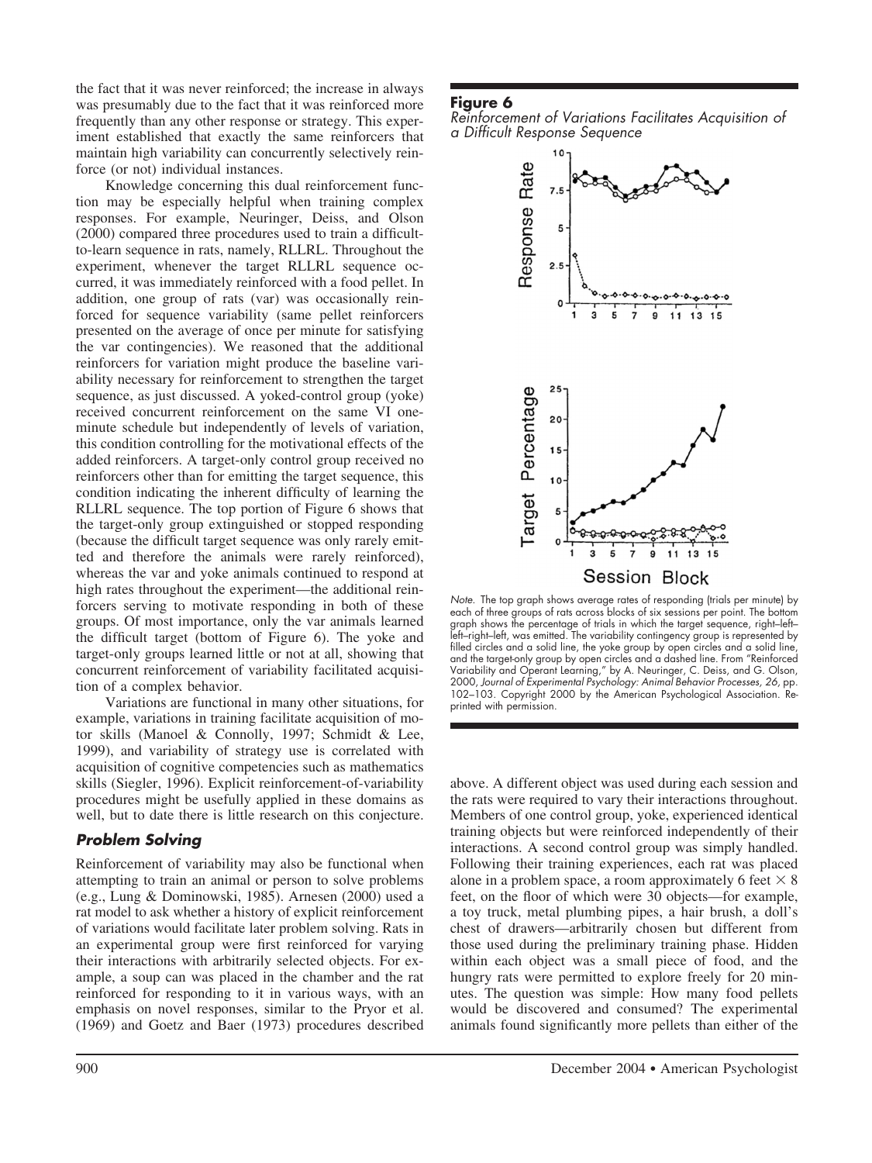the fact that it was never reinforced; the increase in always was presumably due to the fact that it was reinforced more frequently than any other response or strategy. This experiment established that exactly the same reinforcers that maintain high variability can concurrently selectively reinforce (or not) individual instances.

Knowledge concerning this dual reinforcement function may be especially helpful when training complex responses. For example, Neuringer, Deiss, and Olson (2000) compared three procedures used to train a difficultto-learn sequence in rats, namely, RLLRL. Throughout the experiment, whenever the target RLLRL sequence occurred, it was immediately reinforced with a food pellet. In addition, one group of rats (var) was occasionally reinforced for sequence variability (same pellet reinforcers presented on the average of once per minute for satisfying the var contingencies). We reasoned that the additional reinforcers for variation might produce the baseline variability necessary for reinforcement to strengthen the target sequence, as just discussed. A yoked-control group (yoke) received concurrent reinforcement on the same VI oneminute schedule but independently of levels of variation, this condition controlling for the motivational effects of the added reinforcers. A target-only control group received no reinforcers other than for emitting the target sequence, this condition indicating the inherent difficulty of learning the RLLRL sequence. The top portion of Figure 6 shows that the target-only group extinguished or stopped responding (because the difficult target sequence was only rarely emitted and therefore the animals were rarely reinforced), whereas the var and yoke animals continued to respond at high rates throughout the experiment—the additional reinforcers serving to motivate responding in both of these groups. Of most importance, only the var animals learned the difficult target (bottom of Figure 6). The yoke and target-only groups learned little or not at all, showing that concurrent reinforcement of variability facilitated acquisition of a complex behavior.

Variations are functional in many other situations, for example, variations in training facilitate acquisition of motor skills (Manoel & Connolly, 1997; Schmidt & Lee, 1999), and variability of strategy use is correlated with acquisition of cognitive competencies such as mathematics skills (Siegler, 1996). Explicit reinforcement-of-variability procedures might be usefully applied in these domains as well, but to date there is little research on this conjecture.

### *Problem Solving*

Reinforcement of variability may also be functional when attempting to train an animal or person to solve problems (e.g., Lung & Dominowski, 1985). Arnesen (2000) used a rat model to ask whether a history of explicit reinforcement of variations would facilitate later problem solving. Rats in an experimental group were first reinforced for varying their interactions with arbitrarily selected objects. For example, a soup can was placed in the chamber and the rat reinforced for responding to it in various ways, with an emphasis on novel responses, similar to the Pryor et al. (1969) and Goetz and Baer (1973) procedures described

### **Figure 6**

*Reinforcement of Variations Facilitates Acquisition of a Difficult Response Sequence*



*Note.* The top graph shows average rates of responding (trials per minute) by each of three groups of rats across blocks of six sessions per point. The bottom graph shows the percentage of trials in which the target sequence, right–left– left–right–left, was emitted. The variability contingency group is represented by filled circles and a solid line, the yoke group by open circles and a solid line, and the target-only group by open circles and a dashed line. From "Reinforced Variability and Operant Learning," by A. Neuringer, C. Deiss, and G. Olson, 2000, *Journal of Experimental Psychology: Animal Behavior Processes, 26,* pp. 102–103. Copyright 2000 by the American Psychological Association. Reprinted with permission.

above. A different object was used during each session and the rats were required to vary their interactions throughout. Members of one control group, yoke, experienced identical training objects but were reinforced independently of their interactions. A second control group was simply handled. Following their training experiences, each rat was placed alone in a problem space, a room approximately 6 feet  $\times$  8 feet, on the floor of which were 30 objects—for example, a toy truck, metal plumbing pipes, a hair brush, a doll's chest of drawers—arbitrarily chosen but different from those used during the preliminary training phase. Hidden within each object was a small piece of food, and the hungry rats were permitted to explore freely for 20 minutes. The question was simple: How many food pellets would be discovered and consumed? The experimental animals found significantly more pellets than either of the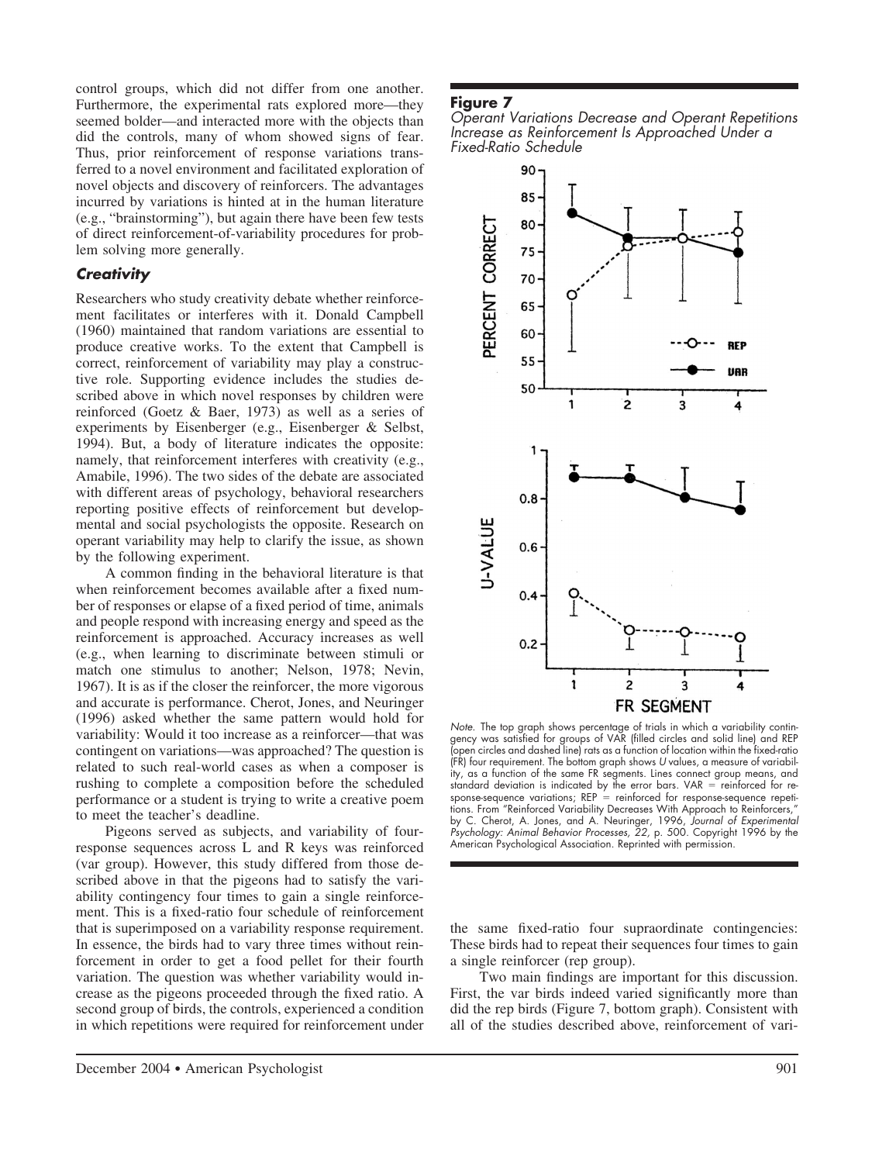control groups, which did not differ from one another. Furthermore, the experimental rats explored more—they seemed bolder—and interacted more with the objects than did the controls, many of whom showed signs of fear. Thus, prior reinforcement of response variations transferred to a novel environment and facilitated exploration of novel objects and discovery of reinforcers. The advantages incurred by variations is hinted at in the human literature (e.g., "brainstorming"), but again there have been few tests of direct reinforcement-of-variability procedures for problem solving more generally.

### *Creativity*

Researchers who study creativity debate whether reinforcement facilitates or interferes with it. Donald Campbell (1960) maintained that random variations are essential to produce creative works. To the extent that Campbell is correct, reinforcement of variability may play a constructive role. Supporting evidence includes the studies described above in which novel responses by children were reinforced (Goetz & Baer, 1973) as well as a series of experiments by Eisenberger (e.g., Eisenberger & Selbst, 1994). But, a body of literature indicates the opposite: namely, that reinforcement interferes with creativity (e.g., Amabile, 1996). The two sides of the debate are associated with different areas of psychology, behavioral researchers reporting positive effects of reinforcement but developmental and social psychologists the opposite. Research on operant variability may help to clarify the issue, as shown by the following experiment.

A common finding in the behavioral literature is that when reinforcement becomes available after a fixed number of responses or elapse of a fixed period of time, animals and people respond with increasing energy and speed as the reinforcement is approached. Accuracy increases as well (e.g., when learning to discriminate between stimuli or match one stimulus to another; Nelson, 1978; Nevin, 1967). It is as if the closer the reinforcer, the more vigorous and accurate is performance. Cherot, Jones, and Neuringer (1996) asked whether the same pattern would hold for variability: Would it too increase as a reinforcer—that was contingent on variations—was approached? The question is related to such real-world cases as when a composer is rushing to complete a composition before the scheduled performance or a student is trying to write a creative poem to meet the teacher's deadline.

Pigeons served as subjects, and variability of fourresponse sequences across L and R keys was reinforced (var group). However, this study differed from those described above in that the pigeons had to satisfy the variability contingency four times to gain a single reinforcement. This is a fixed-ratio four schedule of reinforcement that is superimposed on a variability response requirement. In essence, the birds had to vary three times without reinforcement in order to get a food pellet for their fourth variation. The question was whether variability would increase as the pigeons proceeded through the fixed ratio. A second group of birds, the controls, experienced a condition in which repetitions were required for reinforcement under

#### **Figure 7**

*Operant Variations Decrease and Operant Repetitions Increase as Reinforcement Is Approached Under a Fixed-Ratio Schedule*



*Note.* The top graph shows percentage of trials in which a variability contingency was satisfied for groups of VAR (filled circles and solid line) and REP (open circles and dashed line) rats as a function of location within the fixed-ratio (FR) four requirement. The bottom graph shows *U* values, a measure of variability, as a function of the same FR segments. Lines connect group means, and standard deviation is indicated by the error bars. VAR  $=$  reinforced for response-sequence variations; REP reinforced for response-sequence repetitions. From "Reinforced Variability Decreases With Approach to Reinforcers, by C. Cherot, A. Jones, and A. Neuringer, 1996, *Journal of Experimental Psychology: Animal Behavior Processes, 22,* p. 500. Copyright 1996 by the American Psychological Association. Reprinted with permission.

the same fixed-ratio four supraordinate contingencies: These birds had to repeat their sequences four times to gain a single reinforcer (rep group).

Two main findings are important for this discussion. First, the var birds indeed varied significantly more than did the rep birds (Figure 7, bottom graph). Consistent with all of the studies described above, reinforcement of vari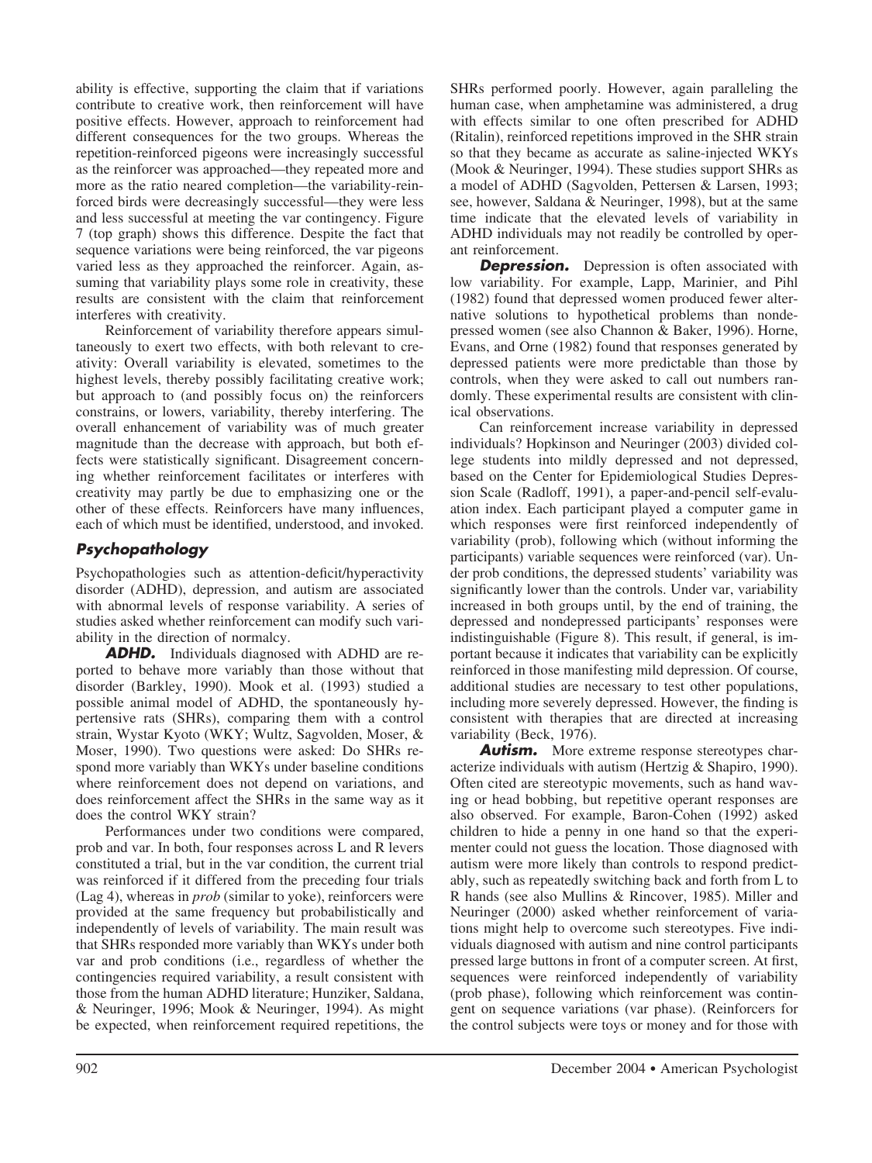ability is effective, supporting the claim that if variations contribute to creative work, then reinforcement will have positive effects. However, approach to reinforcement had different consequences for the two groups. Whereas the repetition-reinforced pigeons were increasingly successful as the reinforcer was approached—they repeated more and more as the ratio neared completion—the variability-reinforced birds were decreasingly successful—they were less and less successful at meeting the var contingency. Figure 7 (top graph) shows this difference. Despite the fact that sequence variations were being reinforced, the var pigeons varied less as they approached the reinforcer. Again, assuming that variability plays some role in creativity, these results are consistent with the claim that reinforcement interferes with creativity.

Reinforcement of variability therefore appears simultaneously to exert two effects, with both relevant to creativity: Overall variability is elevated, sometimes to the highest levels, thereby possibly facilitating creative work; but approach to (and possibly focus on) the reinforcers constrains, or lowers, variability, thereby interfering. The overall enhancement of variability was of much greater magnitude than the decrease with approach, but both effects were statistically significant. Disagreement concerning whether reinforcement facilitates or interferes with creativity may partly be due to emphasizing one or the other of these effects. Reinforcers have many influences, each of which must be identified, understood, and invoked.

# *Psychopathology*

Psychopathologies such as attention-deficit/hyperactivity disorder (ADHD), depression, and autism are associated with abnormal levels of response variability. A series of studies asked whether reinforcement can modify such variability in the direction of normalcy.

*ADHD.* Individuals diagnosed with ADHD are reported to behave more variably than those without that disorder (Barkley, 1990). Mook et al. (1993) studied a possible animal model of ADHD, the spontaneously hypertensive rats (SHRs), comparing them with a control strain, Wystar Kyoto (WKY; Wultz, Sagvolden, Moser, & Moser, 1990). Two questions were asked: Do SHRs respond more variably than WKYs under baseline conditions where reinforcement does not depend on variations, and does reinforcement affect the SHRs in the same way as it does the control WKY strain?

Performances under two conditions were compared, prob and var. In both, four responses across L and R levers constituted a trial, but in the var condition, the current trial was reinforced if it differed from the preceding four trials (Lag 4), whereas in *prob* (similar to yoke), reinforcers were provided at the same frequency but probabilistically and independently of levels of variability. The main result was that SHRs responded more variably than WKYs under both var and prob conditions (i.e., regardless of whether the contingencies required variability, a result consistent with those from the human ADHD literature; Hunziker, Saldana, & Neuringer, 1996; Mook & Neuringer, 1994). As might be expected, when reinforcement required repetitions, the

SHRs performed poorly. However, again paralleling the human case, when amphetamine was administered, a drug with effects similar to one often prescribed for ADHD (Ritalin), reinforced repetitions improved in the SHR strain so that they became as accurate as saline-injected WKYs (Mook & Neuringer, 1994). These studies support SHRs as a model of ADHD (Sagvolden, Pettersen & Larsen, 1993; see, however, Saldana & Neuringer, 1998), but at the same time indicate that the elevated levels of variability in ADHD individuals may not readily be controlled by operant reinforcement.

**Depression.** Depression is often associated with low variability. For example, Lapp, Marinier, and Pihl (1982) found that depressed women produced fewer alternative solutions to hypothetical problems than nondepressed women (see also Channon & Baker, 1996). Horne, Evans, and Orne (1982) found that responses generated by depressed patients were more predictable than those by controls, when they were asked to call out numbers randomly. These experimental results are consistent with clinical observations.

Can reinforcement increase variability in depressed individuals? Hopkinson and Neuringer (2003) divided college students into mildly depressed and not depressed, based on the Center for Epidemiological Studies Depression Scale (Radloff, 1991), a paper-and-pencil self-evaluation index. Each participant played a computer game in which responses were first reinforced independently of variability (prob), following which (without informing the participants) variable sequences were reinforced (var). Under prob conditions, the depressed students' variability was significantly lower than the controls. Under var, variability increased in both groups until, by the end of training, the depressed and nondepressed participants' responses were indistinguishable (Figure 8). This result, if general, is important because it indicates that variability can be explicitly reinforced in those manifesting mild depression. Of course, additional studies are necessary to test other populations, including more severely depressed. However, the finding is consistent with therapies that are directed at increasing variability (Beck, 1976).

**Autism.** More extreme response stereotypes characterize individuals with autism (Hertzig & Shapiro, 1990). Often cited are stereotypic movements, such as hand waving or head bobbing, but repetitive operant responses are also observed. For example, Baron-Cohen (1992) asked children to hide a penny in one hand so that the experimenter could not guess the location. Those diagnosed with autism were more likely than controls to respond predictably, such as repeatedly switching back and forth from L to R hands (see also Mullins & Rincover, 1985). Miller and Neuringer (2000) asked whether reinforcement of variations might help to overcome such stereotypes. Five individuals diagnosed with autism and nine control participants pressed large buttons in front of a computer screen. At first, sequences were reinforced independently of variability (prob phase), following which reinforcement was contingent on sequence variations (var phase). (Reinforcers for the control subjects were toys or money and for those with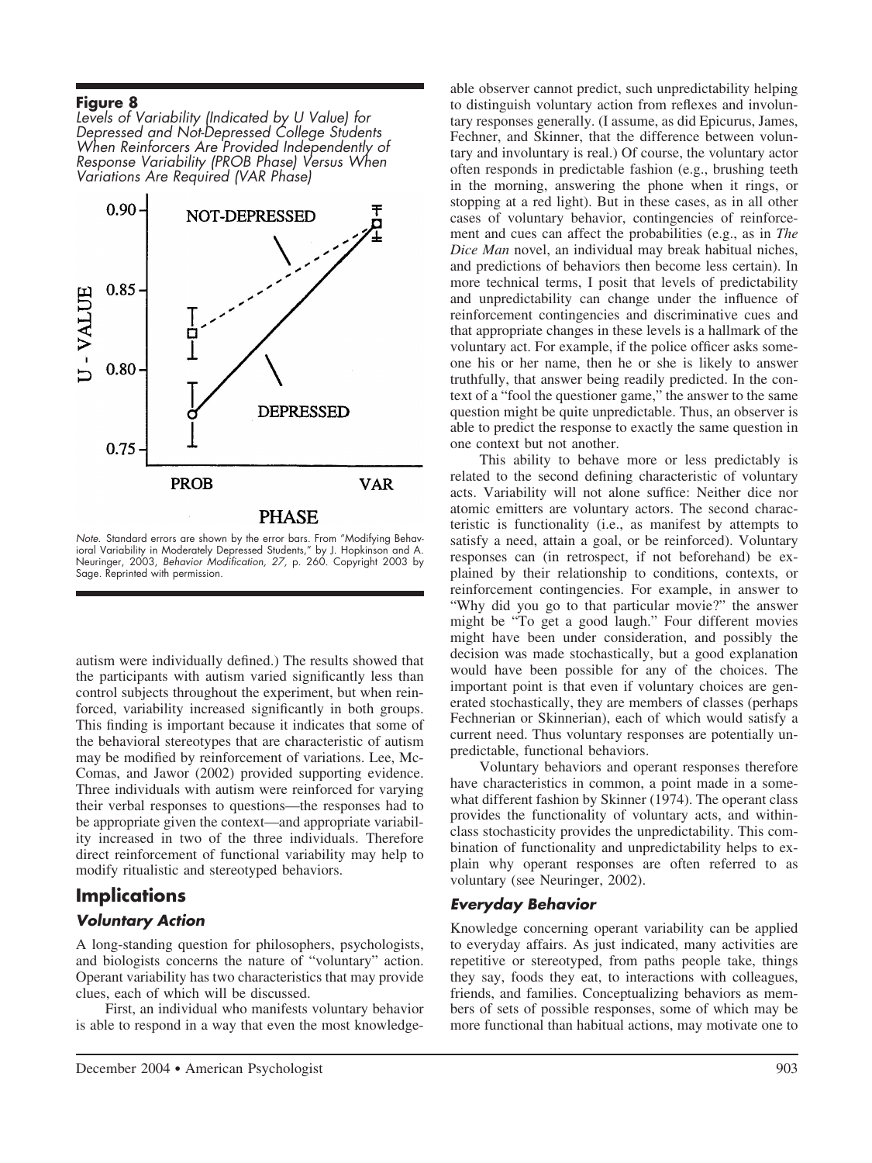*Levels of Variability (Indicated by U Value) for Depressed and Not-Depressed College Students When Reinforcers Are Provided Independently of Response Variability (PROB Phase) Versus When Variations Are Required (VAR Phase)*



*Note.* Standard errors are shown by the error bars. From "Modifying Behavioral Variability in Moderately Depressed Students," by J. Hopkinson and A. Neuringer, 2003, *Behavior Modification, 27,* p. 260. Copyright 2003 by Sage. Reprinted with permission.

autism were individually defined.) The results showed that the participants with autism varied significantly less than control subjects throughout the experiment, but when reinforced, variability increased significantly in both groups. This finding is important because it indicates that some of the behavioral stereotypes that are characteristic of autism may be modified by reinforcement of variations. Lee, Mc-Comas, and Jawor (2002) provided supporting evidence. Three individuals with autism were reinforced for varying their verbal responses to questions—the responses had to be appropriate given the context—and appropriate variability increased in two of the three individuals. Therefore direct reinforcement of functional variability may help to modify ritualistic and stereotyped behaviors.

# **Implications**

### *Voluntary Action*

A long-standing question for philosophers, psychologists, and biologists concerns the nature of "voluntary" action. Operant variability has two characteristics that may provide clues, each of which will be discussed.

First, an individual who manifests voluntary behavior is able to respond in a way that even the most knowledge-

able observer cannot predict, such unpredictability helping to distinguish voluntary action from reflexes and involuntary responses generally. (I assume, as did Epicurus, James, Fechner, and Skinner, that the difference between voluntary and involuntary is real.) Of course, the voluntary actor often responds in predictable fashion (e.g., brushing teeth in the morning, answering the phone when it rings, or stopping at a red light). But in these cases, as in all other cases of voluntary behavior, contingencies of reinforcement and cues can affect the probabilities (e.g., as in *The Dice Man* novel, an individual may break habitual niches, and predictions of behaviors then become less certain). In more technical terms, I posit that levels of predictability and unpredictability can change under the influence of reinforcement contingencies and discriminative cues and that appropriate changes in these levels is a hallmark of the voluntary act. For example, if the police officer asks someone his or her name, then he or she is likely to answer truthfully, that answer being readily predicted. In the context of a "fool the questioner game," the answer to the same question might be quite unpredictable. Thus, an observer is able to predict the response to exactly the same question in one context but not another.

This ability to behave more or less predictably is related to the second defining characteristic of voluntary acts. Variability will not alone suffice: Neither dice nor atomic emitters are voluntary actors. The second characteristic is functionality (i.e., as manifest by attempts to satisfy a need, attain a goal, or be reinforced). Voluntary responses can (in retrospect, if not beforehand) be explained by their relationship to conditions, contexts, or reinforcement contingencies. For example, in answer to "Why did you go to that particular movie?" the answer might be "To get a good laugh." Four different movies might have been under consideration, and possibly the decision was made stochastically, but a good explanation would have been possible for any of the choices. The important point is that even if voluntary choices are generated stochastically, they are members of classes (perhaps Fechnerian or Skinnerian), each of which would satisfy a current need. Thus voluntary responses are potentially unpredictable, functional behaviors.

Voluntary behaviors and operant responses therefore have characteristics in common, a point made in a somewhat different fashion by Skinner (1974). The operant class provides the functionality of voluntary acts, and withinclass stochasticity provides the unpredictability. This combination of functionality and unpredictability helps to explain why operant responses are often referred to as voluntary (see Neuringer, 2002).

#### *Everyday Behavior*

Knowledge concerning operant variability can be applied to everyday affairs. As just indicated, many activities are repetitive or stereotyped, from paths people take, things they say, foods they eat, to interactions with colleagues, friends, and families. Conceptualizing behaviors as members of sets of possible responses, some of which may be more functional than habitual actions, may motivate one to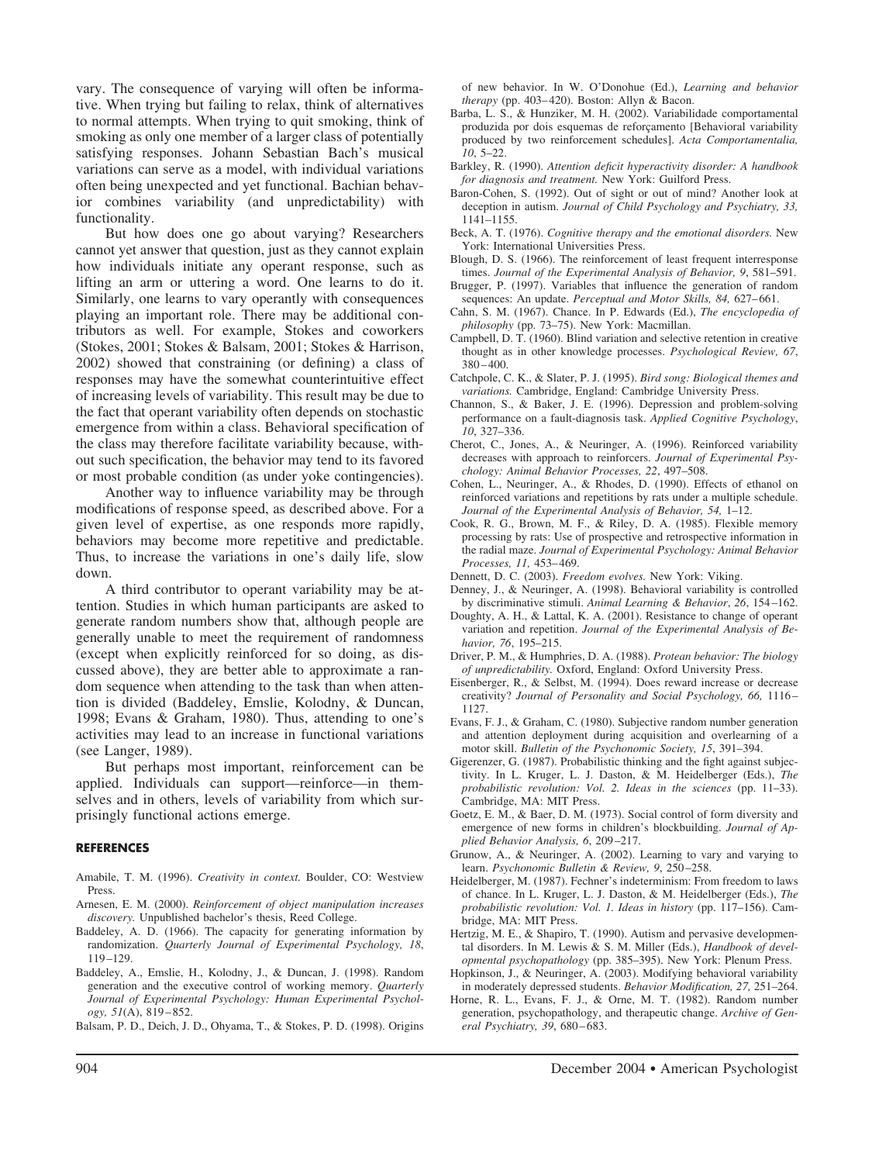vary. The consequence of varying will often be informative. When trying but failing to relax, think of alternatives to normal attempts. When trying to quit smoking, think of smoking as only one member of a larger class of potentially satisfying responses. Johann Sebastian Bach's musical variations can serve as a model, with individual variations often being unexpected and yet functional. Bachian behavior combines variability (and unpredictability) with functionality.

But how does one go about varying? Researchers cannot yet answer that question, just as they cannot explain how individuals initiate any operant response, such as lifting an arm or uttering a word. One learns to do it. Similarly, one learns to vary operantly with consequences playing an important role. There may be additional contributors as well. For example, Stokes and coworkers (Stokes, 2001; Stokes & Balsam, 2001; Stokes & Harrison, 2002) showed that constraining (or defining) a class of responses may have the somewhat counterintuitive effect of increasing levels of variability. This result may be due to the fact that operant variability often depends on stochastic emergence from within a class. Behavioral specification of the class may therefore facilitate variability because, without such specification, the behavior may tend to its favored or most probable condition (as under yoke contingencies).

Another way to influence variability may be through modifications of response speed, as described above. For a given level of expertise, as one responds more rapidly, behaviors may become more repetitive and predictable. Thus, to increase the variations in one's daily life, slow down.

A third contributor to operant variability may be attention. Studies in which human participants are asked to generate random numbers show that, although people are generally unable to meet the requirement of randomness (except when explicitly reinforced for so doing, as discussed above), they are better able to approximate a random sequence when attending to the task than when attention is divided (Baddeley, Emslie, Kolodny, & Duncan, 1998; Evans & Graham, 1980). Thus, attending to one's activities may lead to an increase in functional variations (see Langer, 1989).

But perhaps most important, reinforcement can be applied. Individuals can support—reinforce—in themselves and in others, levels of variability from which surprisingly functional actions emerge.

#### **REFERENCES**

- Amabile, T. M. (1996). *Creativity in context.* Boulder, CO: Westview Press.
- Arnesen, E. M. (2000). *Reinforcement of object manipulation increases discovery.* Unpublished bachelor's thesis, Reed College.
- Baddeley, A. D. (1966). The capacity for generating information by randomization. *Quarterly Journal of Experimental Psychology, 18*, 119 –129.
- Baddeley, A., Emslie, H., Kolodny, J., & Duncan, J. (1998). Random generation and the executive control of working memory. *Quarterly Journal of Experimental Psychology: Human Experimental Psychology, 51*(A), 819 – 852.
- Balsam, P. D., Deich, J. D., Ohyama, T., & Stokes, P. D. (1998). Origins

of new behavior. In W. O'Donohue (Ed.), *Learning and behavior therapy* (pp. 403– 420). Boston: Allyn & Bacon.

- Barba, L. S., & Hunziker, M. H. (2002). Variabilidade comportamental produzida por dois esquemas de reforçamento [Behavioral variability produced by two reinforcement schedules]. *Acta Comportamentalia, 10*, 5–22.
- Barkley, R. (1990). *Attention deficit hyperactivity disorder: A handbook for diagnosis and treatment.* New York: Guilford Press.
- Baron-Cohen, S. (1992). Out of sight or out of mind? Another look at deception in autism. *Journal of Child Psychology and Psychiatry, 33,* 1141–1155.
- Beck, A. T. (1976). *Cognitive therapy and the emotional disorders.* New York: International Universities Press.
- Blough, D. S. (1966). The reinforcement of least frequent interresponse times. *Journal of the Experimental Analysis of Behavior, 9*, 581–591.
- Brugger, P. (1997). Variables that influence the generation of random sequences: An update. *Perceptual and Motor Skills, 84, 627–661*.
- Cahn, S. M. (1967). Chance. In P. Edwards (Ed.), *The encyclopedia of philosophy* (pp. 73–75). New York: Macmillan.
- Campbell, D. T. (1960). Blind variation and selective retention in creative thought as in other knowledge processes. *Psychological Review, 67*, 380 – 400.
- Catchpole, C. K., & Slater, P. J. (1995). *Bird song: Biological themes and variations.* Cambridge, England: Cambridge University Press.
- Channon, S., & Baker, J. E. (1996). Depression and problem-solving performance on a fault-diagnosis task. *Applied Cognitive Psychology*, *10*, 327–336.
- Cherot, C., Jones, A., & Neuringer, A. (1996). Reinforced variability decreases with approach to reinforcers. *Journal of Experimental Psychology: Animal Behavior Processes, 22*, 497–508.
- Cohen, L., Neuringer, A., & Rhodes, D. (1990). Effects of ethanol on reinforced variations and repetitions by rats under a multiple schedule. *Journal of the Experimental Analysis of Behavior, 54,* 1–12.
- Cook, R. G., Brown, M. F., & Riley, D. A. (1985). Flexible memory processing by rats: Use of prospective and retrospective information in the radial maze. *Journal of Experimental Psychology: Animal Behavior Processes, 11,* 453– 469.
- Dennett, D. C. (2003). *Freedom evolves.* New York: Viking.
- Denney, J., & Neuringer, A. (1998). Behavioral variability is controlled by discriminative stimuli. *Animal Learning & Behavior*, *26*, 154 –162.
- Doughty, A. H., & Lattal, K. A. (2001). Resistance to change of operant variation and repetition. *Journal of the Experimental Analysis of Behavior, 76*, 195–215.
- Driver, P. M., & Humphries, D. A. (1988). *Protean behavior: The biology of unpredictability.* Oxford, England: Oxford University Press.
- Eisenberger, R., & Selbst, M. (1994). Does reward increase or decrease creativity? *Journal of Personality and Social Psychology, 66,* 1116 – 1127.
- Evans, F. J., & Graham, C. (1980). Subjective random number generation and attention deployment during acquisition and overlearning of a motor skill. *Bulletin of the Psychonomic Society, 15*, 391–394.
- Gigerenzer, G. (1987). Probabilistic thinking and the fight against subjectivity. In L. Kruger, L. J. Daston, & M. Heidelberger (Eds.), *The probabilistic revolution: Vol. 2. Ideas in the sciences* (pp. 11–33). Cambridge, MA: MIT Press.
- Goetz, E. M., & Baer, D. M. (1973). Social control of form diversity and emergence of new forms in children's blockbuilding. *Journal of Applied Behavior Analysis, 6*, 209 –217.
- Grunow, A., & Neuringer, A. (2002). Learning to vary and varying to learn. *Psychonomic Bulletin & Review, 9*, 250 –258.
- Heidelberger, M. (1987). Fechner's indeterminism: From freedom to laws of chance. In L. Kruger, L. J. Daston, & M. Heidelberger (Eds.), *The probabilistic revolution: Vol. 1. Ideas in history* (pp. 117–156). Cambridge, MA: MIT Press.
- Hertzig, M. E., & Shapiro, T. (1990). Autism and pervasive developmental disorders. In M. Lewis & S. M. Miller (Eds.), *Handbook of developmental psychopathology* (pp. 385–395). New York: Plenum Press.
- Hopkinson, J., & Neuringer, A. (2003). Modifying behavioral variability in moderately depressed students. *Behavior Modification, 27,* 251–264.
- Horne, R. L., Evans, F. J., & Orne, M. T. (1982). Random number generation, psychopathology, and therapeutic change. *Archive of General Psychiatry, 39*, 680 – 683.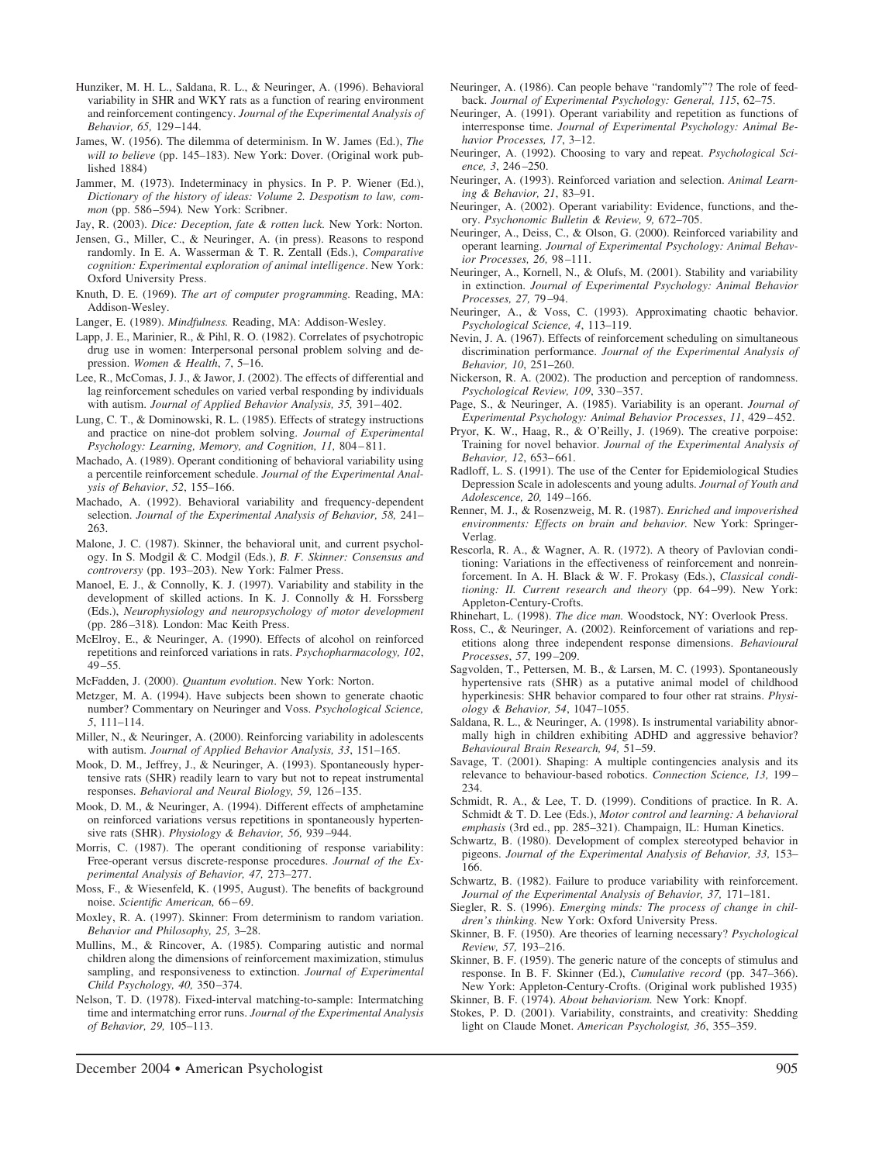- Hunziker, M. H. L., Saldana, R. L., & Neuringer, A. (1996). Behavioral variability in SHR and WKY rats as a function of rearing environment and reinforcement contingency. *Journal of the Experimental Analysis of Behavior, 65,* 129 –144.
- James, W. (1956). The dilemma of determinism. In W. James (Ed.), *The will to believe* (pp. 145–183). New York: Dover. (Original work published 1884)
- Jammer, M. (1973). Indeterminacy in physics. In P. P. Wiener (Ed.), *Dictionary of the history of ideas: Volume 2. Despotism to law, common* (pp. 586 –594)*.* New York: Scribner.

Jay, R. (2003). *Dice: Deception, fate & rotten luck.* New York: Norton.

- Jensen, G., Miller, C., & Neuringer, A. (in press). Reasons to respond randomly. In E. A. Wasserman & T. R. Zentall (Eds.), *Comparative cognition: Experimental exploration of animal intelligence*. New York: Oxford University Press.
- Knuth, D. E. (1969). *The art of computer programming.* Reading, MA: Addison-Wesley.
- Langer, E. (1989). *Mindfulness.* Reading, MA: Addison-Wesley.
- Lapp, J. E., Marinier, R., & Pihl, R. O. (1982). Correlates of psychotropic drug use in women: Interpersonal personal problem solving and depression. *Women & Health*, *7*, 5–16.
- Lee, R., McComas, J. J., & Jawor, J. (2002). The effects of differential and lag reinforcement schedules on varied verbal responding by individuals with autism. *Journal of Applied Behavior Analysis, 35,* 391– 402.
- Lung, C. T., & Dominowski, R. L. (1985). Effects of strategy instructions and practice on nine-dot problem solving. *Journal of Experimental Psychology: Learning, Memory, and Cognition, 11,* 804 – 811.
- Machado, A. (1989). Operant conditioning of behavioral variability using a percentile reinforcement schedule. *Journal of the Experimental Analysis of Behavior*, *52*, 155–166.
- Machado, A. (1992). Behavioral variability and frequency-dependent selection. *Journal of the Experimental Analysis of Behavior, 58,* 241– 263.
- Malone, J. C. (1987). Skinner, the behavioral unit, and current psychology. In S. Modgil & C. Modgil (Eds.), *B. F. Skinner: Consensus and controversy* (pp. 193–203). New York: Falmer Press.
- Manoel, E. J., & Connolly, K. J. (1997). Variability and stability in the development of skilled actions. In K. J. Connolly & H. Forssberg (Eds.), *Neurophysiology and neuropsychology of motor development* (pp. 286 –318)*.* London: Mac Keith Press.
- McElroy, E., & Neuringer, A. (1990). Effects of alcohol on reinforced repetitions and reinforced variations in rats. *Psychopharmacology, 102*,  $49 - 55$ .

McFadden, J. (2000). *Quantum evolution*. New York: Norton.

- Metzger, M. A. (1994). Have subjects been shown to generate chaotic number? Commentary on Neuringer and Voss. *Psychological Science, 5*, 111–114.
- Miller, N., & Neuringer, A. (2000). Reinforcing variability in adolescents with autism. *Journal of Applied Behavior Analysis, 33*, 151–165.
- Mook, D. M., Jeffrey, J., & Neuringer, A. (1993). Spontaneously hypertensive rats (SHR) readily learn to vary but not to repeat instrumental responses. *Behavioral and Neural Biology, 59, 126-135.*
- Mook, D. M., & Neuringer, A. (1994). Different effects of amphetamine on reinforced variations versus repetitions in spontaneously hypertensive rats (SHR). *Physiology & Behavior, 56,* 939 –944.
- Morris, C. (1987). The operant conditioning of response variability: Free-operant versus discrete-response procedures. *Journal of the Experimental Analysis of Behavior, 47,* 273–277.
- Moss, F., & Wiesenfeld, K. (1995, August). The benefits of background noise. *Scientific American,* 66 – 69.
- Moxley, R. A. (1997). Skinner: From determinism to random variation. *Behavior and Philosophy, 25,* 3–28.
- Mullins, M., & Rincover, A. (1985). Comparing autistic and normal children along the dimensions of reinforcement maximization, stimulus sampling, and responsiveness to extinction. *Journal of Experimental Child Psychology, 40,* 350 –374.
- Nelson, T. D. (1978). Fixed-interval matching-to-sample: Intermatching time and intermatching error runs. *Journal of the Experimental Analysis of Behavior, 29,* 105–113.
- Neuringer, A. (1986). Can people behave "randomly"? The role of feedback. *Journal of Experimental Psychology: General, 115*, 62–75.
- Neuringer, A. (1991). Operant variability and repetition as functions of interresponse time. *Journal of Experimental Psychology: Animal Behavior Processes, 17*, 3–12.
- Neuringer, A. (1992). Choosing to vary and repeat. *Psychological Science, 3*, 246 –250.
- Neuringer, A. (1993). Reinforced variation and selection. *Animal Learning & Behavior, 21*, 83–91.
- Neuringer, A. (2002). Operant variability: Evidence, functions, and theory. *Psychonomic Bulletin & Review, 9,* 672–705.
- Neuringer, A., Deiss, C., & Olson, G. (2000). Reinforced variability and operant learning. *Journal of Experimental Psychology: Animal Behavior Processes, 26,* 98 –111.
- Neuringer, A., Kornell, N., & Olufs, M. (2001). Stability and variability in extinction. *Journal of Experimental Psychology: Animal Behavior Processes, 27,* 79 –94.
- Neuringer, A., & Voss, C. (1993). Approximating chaotic behavior. *Psychological Science, 4*, 113–119.
- Nevin, J. A. (1967). Effects of reinforcement scheduling on simultaneous discrimination performance. *Journal of the Experimental Analysis of Behavior, 10*, 251–260.
- Nickerson, R. A. (2002). The production and perception of randomness. *Psychological Review, 109*, 330 –357.
- Page, S., & Neuringer, A. (1985). Variability is an operant. *Journal of Experimental Psychology: Animal Behavior Processes*, *11*, 429 – 452.
- Pryor, K. W., Haag, R., & O'Reilly, J. (1969). The creative porpoise: Training for novel behavior. *Journal of the Experimental Analysis of Behavior, 12*, 653– 661.
- Radloff, L. S. (1991). The use of the Center for Epidemiological Studies Depression Scale in adolescents and young adults. *Journal of Youth and Adolescence, 20,* 149 –166.
- Renner, M. J., & Rosenzweig, M. R. (1987). *Enriched and impoverished environments: Effects on brain and behavior.* New York: Springer-Verlag.
- Rescorla, R. A., & Wagner, A. R. (1972). A theory of Pavlovian conditioning: Variations in the effectiveness of reinforcement and nonreinforcement. In A. H. Black & W. F. Prokasy (Eds.), *Classical conditioning: II. Current research and theory* (pp. 64 –99). New York: Appleton-Century-Crofts.
- Rhinehart, L. (1998). *The dice man.* Woodstock, NY: Overlook Press.
- Ross, C., & Neuringer, A. (2002). Reinforcement of variations and repetitions along three independent response dimensions. *Behavioural Processes*, *57*, 199 –209.
- Sagvolden, T., Pettersen, M. B., & Larsen, M. C. (1993). Spontaneously hypertensive rats (SHR) as a putative animal model of childhood hyperkinesis: SHR behavior compared to four other rat strains. *Physiology & Behavior, 54*, 1047–1055.
- Saldana, R. L., & Neuringer, A. (1998). Is instrumental variability abnormally high in children exhibiting ADHD and aggressive behavior? *Behavioural Brain Research, 94,* 51–59.
- Savage, T. (2001). Shaping: A multiple contingencies analysis and its relevance to behaviour-based robotics. *Connection Science, 13,* 199 – 234.
- Schmidt, R. A., & Lee, T. D. (1999). Conditions of practice. In R. A. Schmidt & T. D. Lee (Eds.), *Motor control and learning: A behavioral emphasis* (3rd ed., pp. 285–321). Champaign, IL: Human Kinetics.
- Schwartz, B. (1980). Development of complex stereotyped behavior in pigeons. *Journal of the Experimental Analysis of Behavior, 33,* 153– 166.
- Schwartz, B. (1982). Failure to produce variability with reinforcement. *Journal of the Experimental Analysis of Behavior, 37,* 171–181.
- Siegler, R. S. (1996). *Emerging minds: The process of change in children's thinking.* New York: Oxford University Press.
- Skinner, B. F. (1950). Are theories of learning necessary? *Psychological Review, 57,* 193–216.
- Skinner, B. F. (1959). The generic nature of the concepts of stimulus and response. In B. F. Skinner (Ed.), *Cumulative record* (pp. 347–366). New York: Appleton-Century-Crofts. (Original work published 1935)
- Skinner, B. F. (1974). *About behaviorism.* New York: Knopf.
- Stokes, P. D. (2001). Variability, constraints, and creativity: Shedding light on Claude Monet. *American Psychologist, 36*, 355–359.

December 2004 ● American Psychologist 905